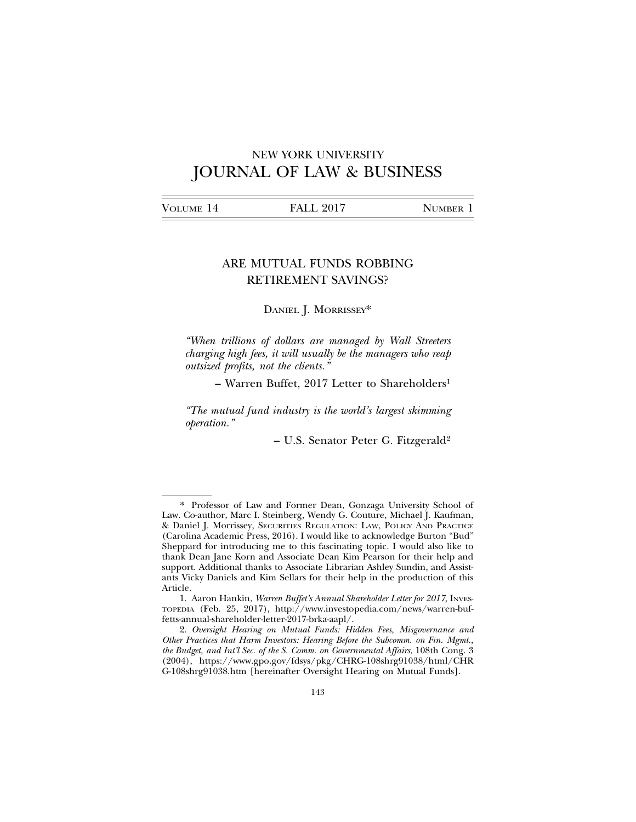# NEW YORK UNIVERSITY JOURNAL OF LAW & BUSINESS

|--|

## ARE MUTUAL FUNDS ROBBING RETIREMENT SAVINGS?

## DANIEL J. MORRISSEY\*

*"When trillions of dollars are managed by Wall Streeters charging high fees, it will usually be the managers who reap outsized profits, not the clients."*

– Warren Buffet, 2017 Letter to Shareholders1

*"The mutual fund industry is the world's largest skimming operation."*

– U.S. Senator Peter G. Fitzgerald2

<sup>\*</sup> Professor of Law and Former Dean, Gonzaga University School of Law. Co-author, Marc I. Steinberg, Wendy G. Couture, Michael J. Kaufman, & Daniel J. Morrissey, SECURITIES REGULATION: LAW, POLICY AND PRACTICE (Carolina Academic Press, 2016). I would like to acknowledge Burton "Bud" Sheppard for introducing me to this fascinating topic. I would also like to thank Dean Jane Korn and Associate Dean Kim Pearson for their help and support. Additional thanks to Associate Librarian Ashley Sundin, and Assistants Vicky Daniels and Kim Sellars for their help in the production of this Article.

<sup>1.</sup> Aaron Hankin, *Warren Buffet's Annual Shareholder Letter for 2017*, INVES-TOPEDIA (Feb. 25, 2017), http://www.investopedia.com/news/warren-buffetts-annual-shareholder-letter-2017-brka-aapl/.

<sup>2.</sup> *Oversight Hearing on Mutual Funds: Hidden Fees, Misgovernance and Other Practices that Harm Investors: Hearing Before the Subcomm. on Fin. Mgmt., the Budget, and Int'l Sec. of the S. Comm. on Governmental Affairs*, 108th Cong. 3 (2004), https://www.gpo.gov/fdsys/pkg/CHRG-108shrg91038/html/CHR G-108shrg91038.htm [hereinafter Oversight Hearing on Mutual Funds].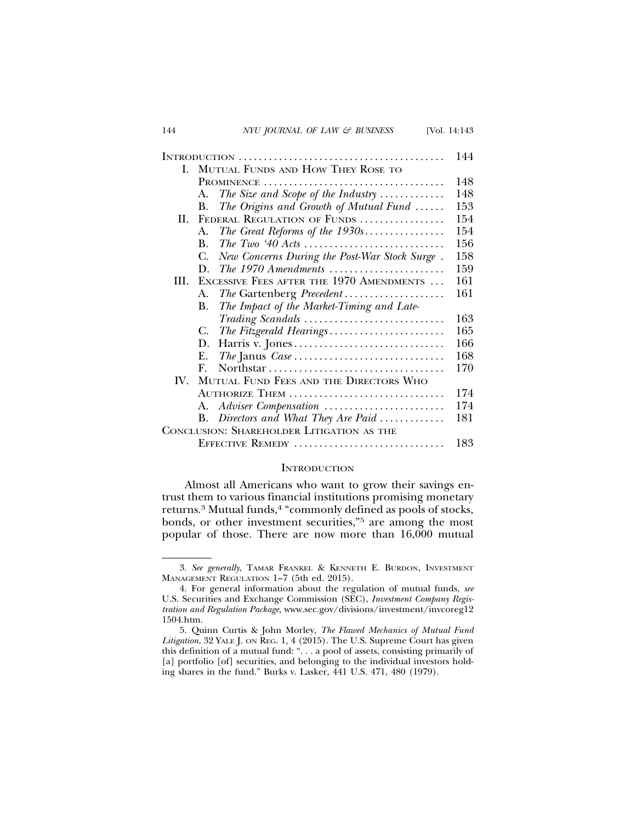|                         |                                                                 | 144 |
|-------------------------|-----------------------------------------------------------------|-----|
| L                       | MUTUAL FUNDS AND HOW THEY ROSE TO                               |     |
|                         |                                                                 | 148 |
|                         | The Size and Scope of the Industry $\ldots \ldots \ldots$<br>A. | 148 |
|                         | The Origins and Growth of Mutual Fund<br>B.                     | 153 |
| II.                     | FEDERAL REGULATION OF FUNDS                                     | 154 |
|                         | The Great Reforms of the $1930$ s<br>А.                         | 154 |
|                         | B.                                                              | 156 |
|                         | New Concerns During the Post-War Stock Surge.<br>C.             | 158 |
|                         | D.                                                              | 159 |
| Ш                       | EXCESSIVE FEES AFTER THE 1970 AMENDMENTS                        | 161 |
|                         | The Gartenberg Precedent<br>А.                                  | 161 |
|                         | The Impact of the Market-Timing and Late-<br><b>B.</b>          |     |
|                         | Trading Scandals                                                | 163 |
|                         | The Fitzgerald Hearings<br>C.                                   | 165 |
|                         | Harris v. Jones<br>D.                                           | 166 |
|                         | Е.                                                              | 168 |
|                         | F                                                               | 170 |
| $\mathbf{I} \mathbf{V}$ | MUTUAL FUND FEES AND THE DIRECTORS WHO                          |     |
|                         | AUTHORIZE THEM                                                  | 174 |
|                         | Adviser Compensation<br>А.                                      | 174 |
|                         | Directors and What They Are Paid<br><b>B.</b>                   | 181 |
|                         | CONCLUSION: SHAREHOLDER LITIGATION AS THE                       |     |

EFFECTIVE REMEDY . . . . . . . . . . . . . . . . . . . . . . . . . . . . . . 183

## **INTRODUCTION**

Almost all Americans who want to grow their savings entrust them to various financial institutions promising monetary returns.3 Mutual funds,4 "commonly defined as pools of stocks, bonds, or other investment securities,"<sup>5</sup> are among the most popular of those. There are now more than 16,000 mutual

<sup>3.</sup> *See generally*, TAMAR FRANKEL & KENNETH E. BURDON, INVESTMENT MANAGEMENT REGULATION 1–7 (5th ed. 2015).

<sup>4.</sup> For general information about the regulation of mutual funds, *see* U.S. Securities and Exchange Commission (SEC), *Investment Company Registration and Regulation Package,* www.sec.gov/divisions/investment/invcoreg12 1504.htm.

<sup>5.</sup> Quinn Curtis & John Morley, *The Flawed Mechanics of Mutual Fund* Litigation, 32 YALE J. ON REG. 1, 4 (2015). The U.S. Supreme Court has given this definition of a mutual fund: ". . . a pool of assets, consisting primarily of [a] portfolio [of] securities, and belonging to the individual investors holding shares in the fund." Burks v. Lasker, 441 U.S. 471, 480 (1979).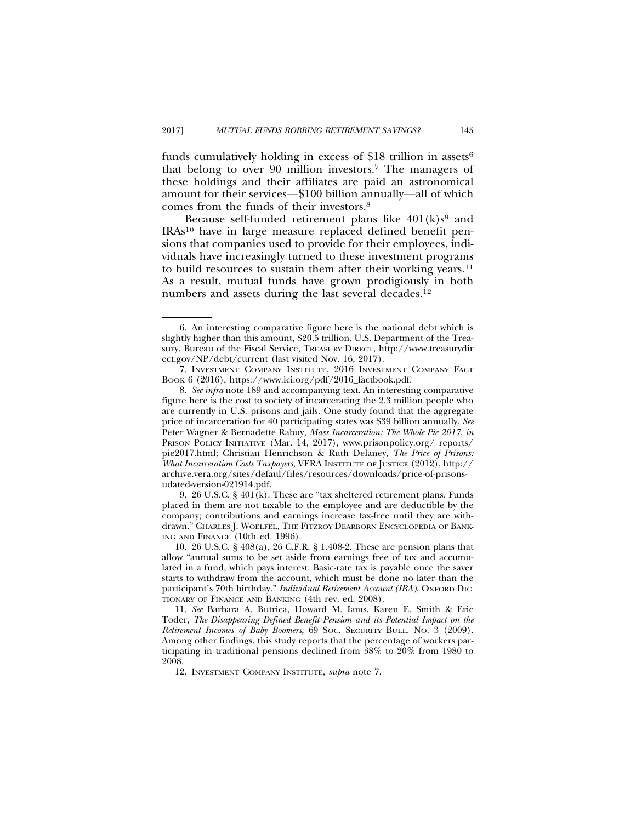funds cumulatively holding in excess of \$18 trillion in assets<sup>6</sup> that belong to over 90 million investors.7 The managers of these holdings and their affiliates are paid an astronomical amount for their services—\$100 billion annually—all of which comes from the funds of their investors.8

Because self-funded retirement plans like  $401(k)s<sup>9</sup>$  and IRAs10 have in large measure replaced defined benefit pensions that companies used to provide for their employees, individuals have increasingly turned to these investment programs to build resources to sustain them after their working years.<sup>11</sup> As a result, mutual funds have grown prodigiously in both numbers and assets during the last several decades.<sup>12</sup>

9. 26 U.S.C. § 401(k). These are "tax sheltered retirement plans. Funds placed in them are not taxable to the employee and are deductible by the company; contributions and earnings increase tax-free until they are withdrawn." CHARLES J. WOELFEL, THE FITZROY DEARBORN ENCYCLOPEDIA OF BANK-ING AND FINANCE (10th ed. 1996).

<sup>6.</sup> An interesting comparative figure here is the national debt which is slightly higher than this amount, \$20.5 trillion. U.S. Department of the Treasury, Bureau of the Fiscal Service, TREASURY DIRECT, http://www.treasurydir ect.gov/NP/debt/current (last visited Nov. 16, 2017).

<sup>7.</sup> INVESTMENT COMPANY INSTITUTE, 2016 INVESTMENT COMPANY FACT BOOK 6 (2016), https://www.ici.org/pdf/2016\_factbook.pdf.

<sup>8.</sup> *See infra* note 189 and accompanying text. An interesting comparative figure here is the cost to society of incarcerating the 2.3 million people who are currently in U.S. prisons and jails. One study found that the aggregate price of incarceration for 40 participating states was \$39 billion annually. *See* Peter Wagner & Bernadette Rabuy, *Mass Incarceration: The Whole Pie 2017*, *in* PRISON POLICY INITIATIVE (Mar. 14, 2017), www.prisonpolicy.org/ reports/ pie2017.html; Christian Henrichson & Ruth Delaney, *The Price of Prisons: What Incarceration Costs Taxpayers*, VERA INSTITUTE OF JUSTICE (2012), http:// archive.vera.org/sites/defaul/files/resources/downloads/price-of-prisonsudated-version-021914.pdf.

<sup>10. 26</sup> U.S.C. § 408(a), 26 C.F.R. § 1.408-2. These are pension plans that allow "annual sums to be set aside from earnings free of tax and accumulated in a fund, which pays interest. Basic-rate tax is payable once the saver starts to withdraw from the account, which must be done no later than the participant's 70th birthday." *Individual Retirement Account (IRA)*, OXFORD DIC-TIONARY OF FINANCE AND BANKING (4th rev. ed. 2008).

<sup>11.</sup> *See* Barbara A. Butrica, Howard M. Iams, Karen E. Smith & Eric Toder, *The Disappearing Defined Benefit Pension and its Potential Impact on the Retirement Incomes of Baby Boomers*, 69 SOC. SECURITY BULL. NO. 3 (2009). Among other findings, this study reports that the percentage of workers participating in traditional pensions declined from 38% to 20% from 1980 to 2008.

<sup>12.</sup> INVESTMENT COMPANY INSTITUTE, *supra* note 7.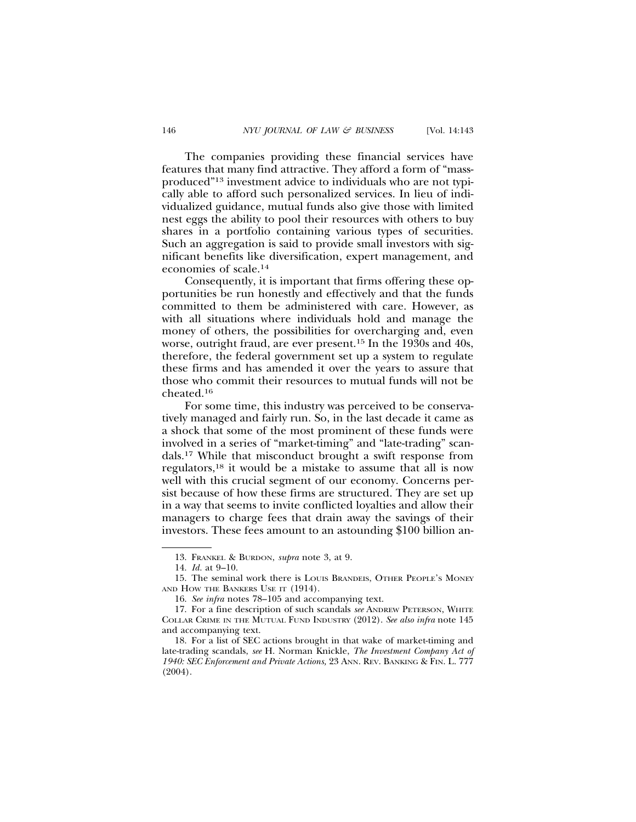The companies providing these financial services have features that many find attractive. They afford a form of "massproduced"13 investment advice to individuals who are not typically able to afford such personalized services. In lieu of individualized guidance, mutual funds also give those with limited nest eggs the ability to pool their resources with others to buy shares in a portfolio containing various types of securities. Such an aggregation is said to provide small investors with significant benefits like diversification, expert management, and economies of scale.14

Consequently, it is important that firms offering these opportunities be run honestly and effectively and that the funds committed to them be administered with care. However, as with all situations where individuals hold and manage the money of others, the possibilities for overcharging and, even worse, outright fraud, are ever present.15 In the 1930s and 40s, therefore, the federal government set up a system to regulate these firms and has amended it over the years to assure that those who commit their resources to mutual funds will not be cheated.16

For some time, this industry was perceived to be conservatively managed and fairly run. So, in the last decade it came as a shock that some of the most prominent of these funds were involved in a series of "market-timing" and "late-trading" scandals.17 While that misconduct brought a swift response from regulators,18 it would be a mistake to assume that all is now well with this crucial segment of our economy. Concerns persist because of how these firms are structured. They are set up in a way that seems to invite conflicted loyalties and allow their managers to charge fees that drain away the savings of their investors. These fees amount to an astounding \$100 billion an-

<sup>13.</sup> FRANKEL & BURDON, *supra* note 3, at 9.

<sup>14.</sup> *Id.* at 9–10.

<sup>15.</sup> The seminal work there is LOUIS BRANDEIS, OTHER PEOPLE'S MONEY AND HOW THE BANKERS USE IT (1914).

<sup>16.</sup> *See infra* notes 78–105 and accompanying text.

<sup>17.</sup> For a fine description of such scandals *see* ANDREW PETERSON, WHITE COLLAR CRIME IN THE MUTUAL FUND INDUSTRY (2012). *See also infra* note 145 and accompanying text.

<sup>18.</sup> For a list of SEC actions brought in that wake of market-timing and late-trading scandals, *see* H. Norman Knickle, *The Investment Company Act of 1940: SEC Enforcement and Private Actions,* 23 ANN. REV. BANKING & FIN. L. 777 (2004).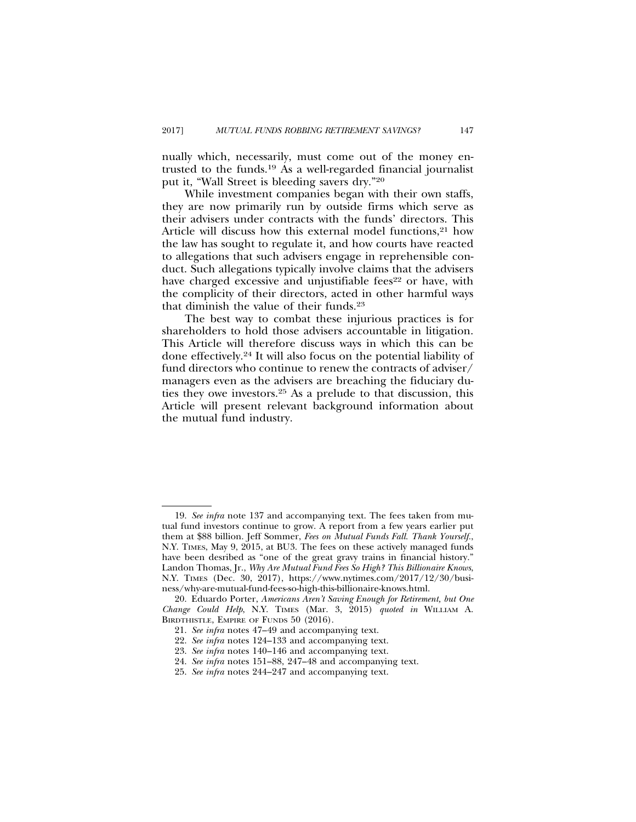nually which, necessarily, must come out of the money entrusted to the funds.19 As a well-regarded financial journalist put it, "Wall Street is bleeding savers dry."20

While investment companies began with their own staffs, they are now primarily run by outside firms which serve as their advisers under contracts with the funds' directors. This Article will discuss how this external model functions,<sup>21</sup> how the law has sought to regulate it, and how courts have reacted to allegations that such advisers engage in reprehensible conduct. Such allegations typically involve claims that the advisers have charged excessive and unjustifiable fees<sup>22</sup> or have, with the complicity of their directors, acted in other harmful ways that diminish the value of their funds.23

The best way to combat these injurious practices is for shareholders to hold those advisers accountable in litigation. This Article will therefore discuss ways in which this can be done effectively.24 It will also focus on the potential liability of fund directors who continue to renew the contracts of adviser/ managers even as the advisers are breaching the fiduciary duties they owe investors.25 As a prelude to that discussion, this Article will present relevant background information about the mutual fund industry.

<sup>19.</sup> *See infra* note 137 and accompanying text. The fees taken from mutual fund investors continue to grow. A report from a few years earlier put them at \$88 billion. Jeff Sommer, *Fees on Mutual Funds Fall. Thank Yourself.*, N.Y. TIMES, May 9, 2015, at BU3. The fees on these actively managed funds have been desribed as "one of the great gravy trains in financial history." Landon Thomas, Jr., *Why Are Mutual Fund Fees So High? This Billionaire Knows*, N.Y. TIMES (Dec. 30, 2017), https://www.nytimes.com/2017/12/30/business/why-are-mutual-fund-fees-so-high-this-billionaire-knows.html.

<sup>20.</sup> Eduardo Porter, *Americans Aren't Saving Enough for Retirement, but One Change Could Help*, N.Y. TIMES (Mar. 3, 2015) *quoted in* WILLIAM A. BIRDTHISTLE, EMPIRE OF FUNDS 50 (2016).

<sup>21.</sup> *See infra* notes 47–49 and accompanying text.

<sup>22.</sup> *See infra* notes 124–133 and accompanying text.

<sup>23.</sup> *See infra* notes 140–146 and accompanying text.

<sup>24.</sup> *See infra* notes 151–88, 247–48 and accompanying text.

<sup>25.</sup> *See infra* notes 244–247 and accompanying text.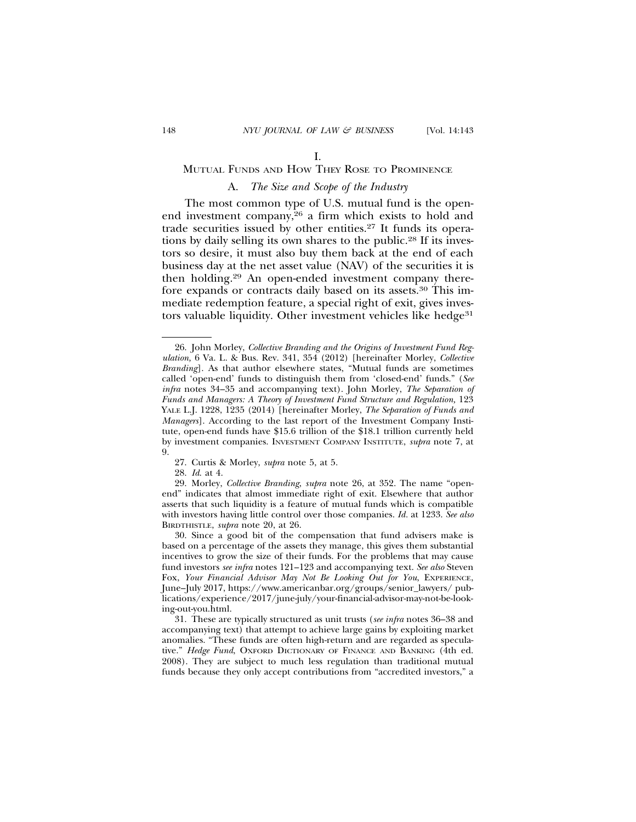## MUTUAL FUNDS AND HOW THEY ROSE TO PROMINENCE

## A. *The Size and Scope of the Industry*

The most common type of U.S. mutual fund is the openend investment company,26 a firm which exists to hold and trade securities issued by other entities.27 It funds its operations by daily selling its own shares to the public.28 If its investors so desire, it must also buy them back at the end of each business day at the net asset value (NAV) of the securities it is then holding.29 An open-ended investment company therefore expands or contracts daily based on its assets.30 This immediate redemption feature, a special right of exit, gives investors valuable liquidity. Other investment vehicles like hedge<sup>31</sup>

27. Curtis & Morley, *supra* note 5, at 5.

28. *Id*. at 4.

29. Morley, *Collective Branding*, *supra* note 26, at 352. The name "openend" indicates that almost immediate right of exit. Elsewhere that author asserts that such liquidity is a feature of mutual funds which is compatible with investors having little control over those companies. *Id.* at 1233. *See also* BIRDTHISTLE, *supra* note 20, at 26.

30. Since a good bit of the compensation that fund advisers make is based on a percentage of the assets they manage, this gives them substantial incentives to grow the size of their funds. For the problems that may cause fund investors *see infra* notes 121–123 and accompanying text. *See also* Steven Fox, *Your Financial Advisor May Not Be Looking Out for You*, EXPERIENCE, June–July 2017, https://www.americanbar.org/groups/senior\_lawyers/ publications/experience/2017/june-july/your-financial-advisor-may-not-be-looking-out-you.html.

31. These are typically structured as unit trusts (*see infra* notes 36–38 and accompanying text) that attempt to achieve large gains by exploiting market anomalies. "These funds are often high-return and are regarded as speculative." *Hedge Fund*, OXFORD DICTIONARY OF FINANCE AND BANKING (4th ed. 2008). They are subject to much less regulation than traditional mutual funds because they only accept contributions from "accredited investors," a

<sup>26.</sup> John Morley, *Collective Branding and the Origins of Investment Fund Regulation,* 6 Va. L. & Bus. Rev. 341, 354 (2012) [hereinafter Morley, *Collective Branding*]. As that author elsewhere states, "Mutual funds are sometimes called 'open-end' funds to distinguish them from 'closed-end' funds." (*See infra* notes 34–35 and accompanying text). John Morley, *The Separation of* Funds and Managers: A Theory of Investment Fund Structure and Regulation, 123 YALE L.J. 1228, 1235 (2014) [hereinafter Morley, *The Separation of Funds and Managers*]. According to the last report of the Investment Company Institute, open-end funds have \$15.6 trillion of the \$18.1 trillion currently held by investment companies. INVESTMENT COMPANY INSTITUTE, *supra* note 7, at 9.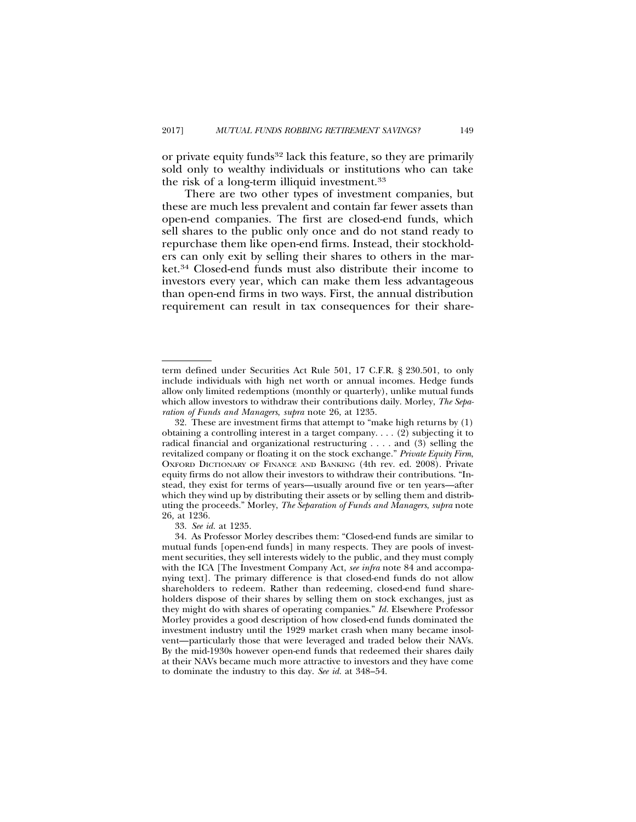or private equity funds<sup>32</sup> lack this feature, so they are primarily sold only to wealthy individuals or institutions who can take the risk of a long-term illiquid investment.33

There are two other types of investment companies, but these are much less prevalent and contain far fewer assets than open-end companies. The first are closed-end funds, which sell shares to the public only once and do not stand ready to repurchase them like open-end firms. Instead, their stockholders can only exit by selling their shares to others in the market.34 Closed-end funds must also distribute their income to investors every year, which can make them less advantageous than open-end firms in two ways. First, the annual distribution requirement can result in tax consequences for their share-

term defined under Securities Act Rule 501, 17 C.F.R. § 230.501, to only include individuals with high net worth or annual incomes. Hedge funds allow only limited redemptions (monthly or quarterly), unlike mutual funds which allow investors to withdraw their contributions daily. Morley, *The Separation of Funds and Managers*, *supra* note 26, at 1235.

<sup>32.</sup> These are investment firms that attempt to "make high returns by (1) obtaining a controlling interest in a target company. . . . (2) subjecting it to radical financial and organizational restructuring . . . . and (3) selling the revitalized company or floating it on the stock exchange." *Private Equity Firm*, OXFORD DICTIONARY OF FINANCE AND BANKING (4th rev. ed. 2008). Private equity firms do not allow their investors to withdraw their contributions. "Instead, they exist for terms of years—usually around five or ten years—after which they wind up by distributing their assets or by selling them and distributing the proceeds." Morley, *The Separation of Funds and Managers*, *supra* note 26*,* at 1236*.*

<sup>33.</sup> *See id.* at 1235.

<sup>34.</sup> As Professor Morley describes them: "Closed-end funds are similar to mutual funds [open-end funds] in many respects. They are pools of investment securities, they sell interests widely to the public, and they must comply with the ICA [The Investment Company Act, *see infra* note 84 and accompanying text]. The primary difference is that closed-end funds do not allow shareholders to redeem. Rather than redeeming, closed-end fund shareholders dispose of their shares by selling them on stock exchanges, just as they might do with shares of operating companies." *Id.* Elsewhere Professor Morley provides a good description of how closed-end funds dominated the investment industry until the 1929 market crash when many became insolvent—particularly those that were leveraged and traded below their NAVs. By the mid-1930s however open-end funds that redeemed their shares daily at their NAVs became much more attractive to investors and they have come to dominate the industry to this day. *See id.* at 348–54.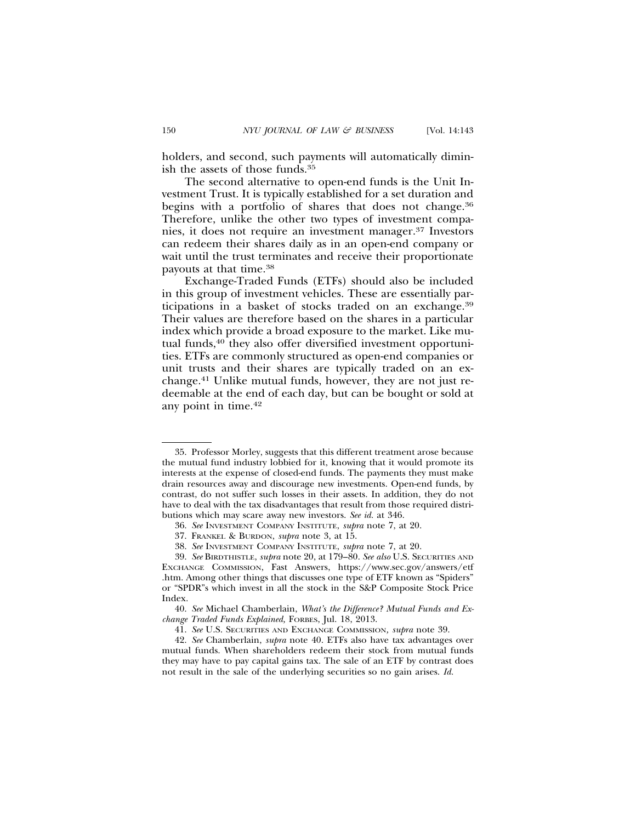holders, and second, such payments will automatically diminish the assets of those funds.35

The second alternative to open-end funds is the Unit Investment Trust. It is typically established for a set duration and begins with a portfolio of shares that does not change.<sup>36</sup> Therefore, unlike the other two types of investment companies, it does not require an investment manager.37 Investors can redeem their shares daily as in an open-end company or wait until the trust terminates and receive their proportionate payouts at that time.38

Exchange-Traded Funds (ETFs) should also be included in this group of investment vehicles. These are essentially participations in a basket of stocks traded on an exchange.39 Their values are therefore based on the shares in a particular index which provide a broad exposure to the market. Like mutual funds,<sup>40</sup> they also offer diversified investment opportunities. ETFs are commonly structured as open-end companies or unit trusts and their shares are typically traded on an exchange.41 Unlike mutual funds, however, they are not just redeemable at the end of each day, but can be bought or sold at any point in time.42

<sup>35.</sup> Professor Morley, suggests that this different treatment arose because the mutual fund industry lobbied for it, knowing that it would promote its interests at the expense of closed-end funds. The payments they must make drain resources away and discourage new investments. Open-end funds, by contrast, do not suffer such losses in their assets. In addition, they do not have to deal with the tax disadvantages that result from those required distributions which may scare away new investors. *See id.* at 346.

<sup>36.</sup> *See* INVESTMENT COMPANY INSTITUTE, *supra* note 7, at 20.

<sup>37.</sup> FRANKEL & BURDON, *supra* note 3, at 15.

<sup>38.</sup> *See* INVESTMENT COMPANY INSTITUTE, *supra* note 7, at 20.

<sup>39.</sup> *See* BIRDTHISTLE, *supra* note 20, at 179–80. *See also* U.S. SECURITIES AND EXCHANGE COMMISSION, Fast Answers, https://www.sec.gov/answers/etf .htm. Among other things that discusses one type of ETF known as "Spiders" or "SPDR"s which invest in all the stock in the S&P Composite Stock Price Index.

<sup>40.</sup> *See* Michael Chamberlain, *What's the Difference? Mutual Funds and Exchange Traded Funds Explained,* FORBES, Jul. 18, 2013.

<sup>41.</sup> *See* U.S. SECURITIES AND EXCHANGE COMMISSION*, supra* note 39.

<sup>42.</sup> *See* Chamberlain, *supra* note 40. ETFs also have tax advantages over mutual funds. When shareholders redeem their stock from mutual funds they may have to pay capital gains tax. The sale of an ETF by contrast does not result in the sale of the underlying securities so no gain arises. *Id.*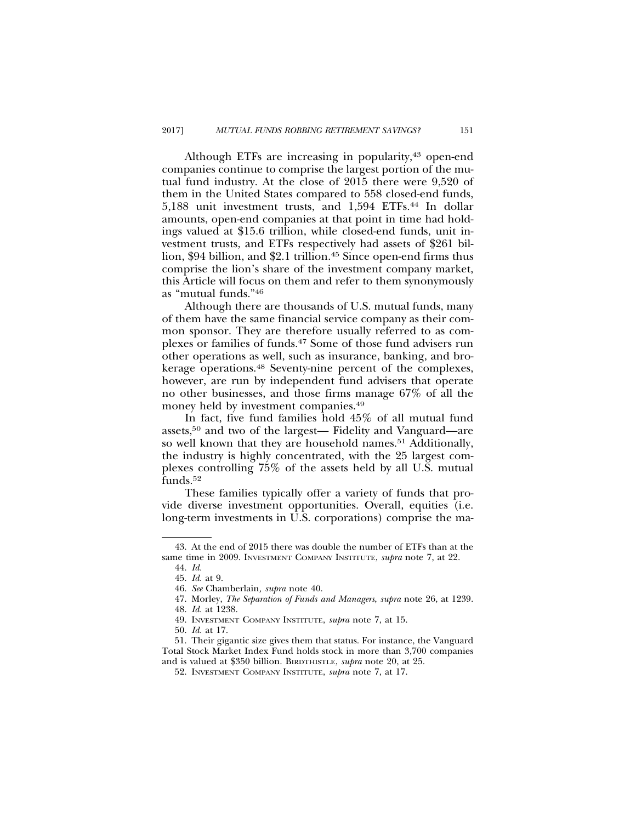Although ETFs are increasing in popularity,<sup>43</sup> open-end companies continue to comprise the largest portion of the mutual fund industry. At the close of 2015 there were 9,520 of them in the United States compared to 558 closed-end funds, 5,188 unit investment trusts, and 1,594 ETFs.44 In dollar amounts, open-end companies at that point in time had holdings valued at \$15.6 trillion, while closed-end funds, unit investment trusts, and ETFs respectively had assets of \$261 billion, \$94 billion, and \$2.1 trillion.<sup>45</sup> Since open-end firms thus comprise the lion's share of the investment company market, this Article will focus on them and refer to them synonymously as "mutual funds."46

Although there are thousands of U.S. mutual funds, many of them have the same financial service company as their common sponsor. They are therefore usually referred to as complexes or families of funds.47 Some of those fund advisers run other operations as well, such as insurance, banking, and brokerage operations.48 Seventy-nine percent of the complexes, however, are run by independent fund advisers that operate no other businesses, and those firms manage 67% of all the money held by investment companies.49

In fact, five fund families hold 45% of all mutual fund assets,50 and two of the largest— Fidelity and Vanguard—are so well known that they are household names.<sup>51</sup> Additionally, the industry is highly concentrated, with the 25 largest complexes controlling 75% of the assets held by all U.S. mutual funds.52

These families typically offer a variety of funds that provide diverse investment opportunities. Overall, equities (i.e. long-term investments in U.S. corporations) comprise the ma-

<sup>43.</sup> At the end of 2015 there was double the number of ETFs than at the same time in 2009. INVESTMENT COMPANY INSTITUTE, *supra* note 7, at 22.

<sup>44.</sup> *Id.*

<sup>45.</sup> *Id.* at 9.

<sup>46.</sup> *See* Chamberlain*, supra* note 40.

<sup>47.</sup> Morley, *The Separation of Funds and Managers*, *supra* note 26, at 1239.

<sup>48.</sup> *Id.* at 1238.

<sup>49.</sup> INVESTMENT COMPANY INSTITUTE, *supra* note 7, at 15.

<sup>50.</sup> *Id.* at 17.

<sup>51.</sup> Their gigantic size gives them that status. For instance, the Vanguard Total Stock Market Index Fund holds stock in more than 3,700 companies and is valued at \$350 billion. BIRDTHISTLE, *supra* note 20, at 25.

<sup>52.</sup> INVESTMENT COMPANY INSTITUTE, *supra* note 7, at 17.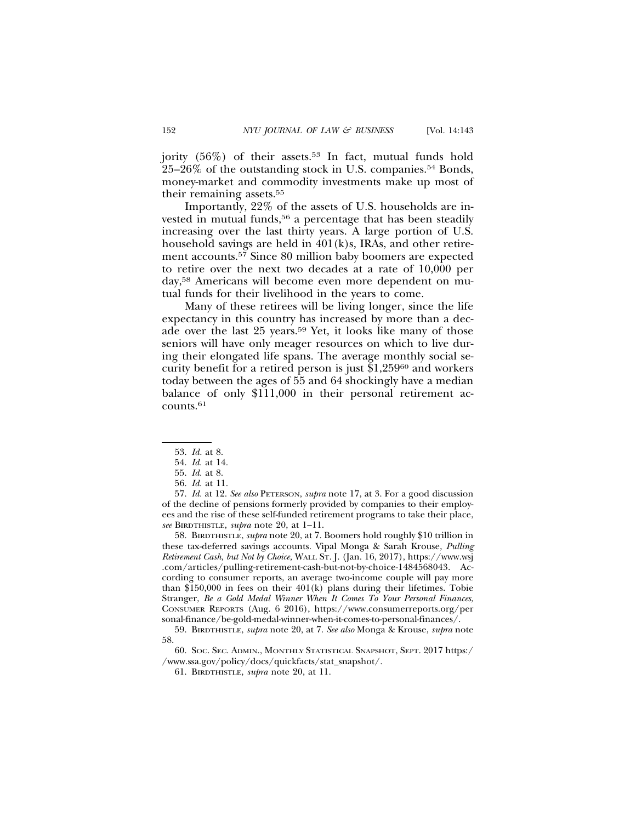jority  $(56\%)$  of their assets.<sup>53</sup> In fact, mutual funds hold

25–26% of the outstanding stock in U.S. companies.54 Bonds, money-market and commodity investments make up most of their remaining assets.55

Importantly, 22% of the assets of U.S. households are invested in mutual funds,<sup>56</sup> a percentage that has been steadily increasing over the last thirty years. A large portion of U.S. household savings are held in 401(k)s, IRAs, and other retirement accounts.57 Since 80 million baby boomers are expected to retire over the next two decades at a rate of 10,000 per day,58 Americans will become even more dependent on mutual funds for their livelihood in the years to come.

Many of these retirees will be living longer, since the life expectancy in this country has increased by more than a decade over the last 25 years.<sup>59</sup> Yet, it looks like many of those seniors will have only meager resources on which to live during their elongated life spans. The average monthly social security benefit for a retired person is just \$1,25960 and workers today between the ages of 55 and 64 shockingly have a median balance of only \$111,000 in their personal retirement accounts.61

57. *Id.* at 12. *See also* PETERSON, *supra* note 17, at 3. For a good discussion of the decline of pensions formerly provided by companies to their employees and the rise of these self-funded retirement programs to take their place, *see* BIRDTHISTLE, *supra* note 20, at 1–11.

58. BIRDTHISTLE, *supra* note 20, at 7. Boomers hold roughly \$10 trillion in these tax-deferred savings accounts. Vipal Monga & Sarah Krouse, *Pulling Retirement Cash, but Not by Choice,* WALL ST. J. (Jan. 16, 2017), https://www.wsj .com/articles/pulling-retirement-cash-but-not-by-choice-1484568043. According to consumer reports, an average two-income couple will pay more than \$150,000 in fees on their 401(k) plans during their lifetimes. Tobie Stranger, *Be a Gold Medal Winner When It Comes To Your Personal Finances*, CONSUMER REPORTS (Aug. 6 2016), https://www.consumerreports.org/per sonal-finance/be-gold-medal-winner-when-it-comes-to-personal-finances/.

60. SOC. SEC. ADMIN., MONTHLY STATISTICAL SNAPSHOT, SEPT. 2017 https:/ /www.ssa.gov/policy/docs/quickfacts/stat\_snapshot/.

61. BIRDTHISTLE, *supra* note 20, at 11.

<sup>53.</sup> *Id.* at 8.

<sup>54.</sup> *Id.* at 14.

<sup>55.</sup> *Id.* at 8.

<sup>56.</sup> *Id.* at 11.

<sup>59.</sup> BIRDTHISTLE, *supra* note 20, at 7. *See also* Monga & Krouse, *supra* note 58.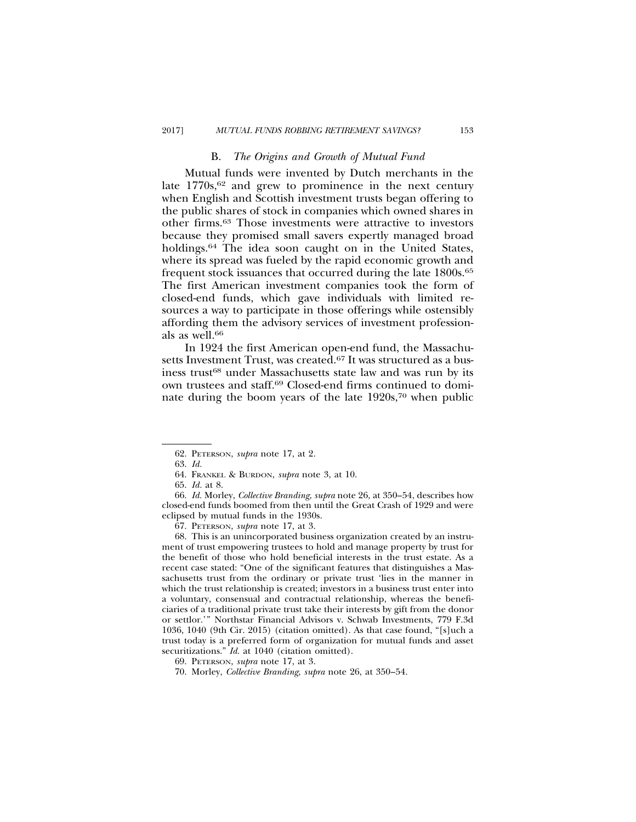#### B. *The Origins and Growth of Mutual Fund*

Mutual funds were invented by Dutch merchants in the late  $1770s$ ,  $62$  and grew to prominence in the next century when English and Scottish investment trusts began offering to the public shares of stock in companies which owned shares in other firms.63 Those investments were attractive to investors because they promised small savers expertly managed broad holdings.64 The idea soon caught on in the United States, where its spread was fueled by the rapid economic growth and frequent stock issuances that occurred during the late 1800s.65 The first American investment companies took the form of closed-end funds, which gave individuals with limited resources a way to participate in those offerings while ostensibly affording them the advisory services of investment professionals as well.<sup>66</sup>

In 1924 the first American open-end fund, the Massachusetts Investment Trust, was created.<sup>67</sup> It was structured as a business trust<sup>68</sup> under Massachusetts state law and was run by its own trustees and staff.69 Closed-end firms continued to dominate during the boom years of the late 1920s,70 when public

68. This is an unincorporated business organization created by an instrument of trust empowering trustees to hold and manage property by trust for the benefit of those who hold beneficial interests in the trust estate. As a recent case stated: "One of the significant features that distinguishes a Massachusetts trust from the ordinary or private trust 'lies in the manner in which the trust relationship is created; investors in a business trust enter into a voluntary, consensual and contractual relationship, whereas the beneficiaries of a traditional private trust take their interests by gift from the donor or settlor.'" Northstar Financial Advisors v. Schwab Investments, 779 F.3d 1036, 1040 (9th Cir. 2015) (citation omitted). As that case found, "[s]uch a trust today is a preferred form of organization for mutual funds and asset securitizations." *Id.* at 1040 (citation omitted).

<sup>62.</sup> PETERSON, *supra* note 17, at 2.

<sup>63.</sup> *Id.*

<sup>64.</sup> FRANKEL & BURDON, *supra* note 3, at 10.

<sup>65.</sup> *Id.* at 8.

<sup>66.</sup> *Id.* Morley, *Collective Branding*, *supra* note 26, at 350–54, describes how closed-end funds boomed from then until the Great Crash of 1929 and were eclipsed by mutual funds in the 1930s.

<sup>67.</sup> PETERSON, *supra* note 17, at 3.

<sup>69.</sup> PETERSON, *supra* note 17, at 3.

<sup>70.</sup> Morley, *Collective Branding*, *supra* note 26, at 350–54.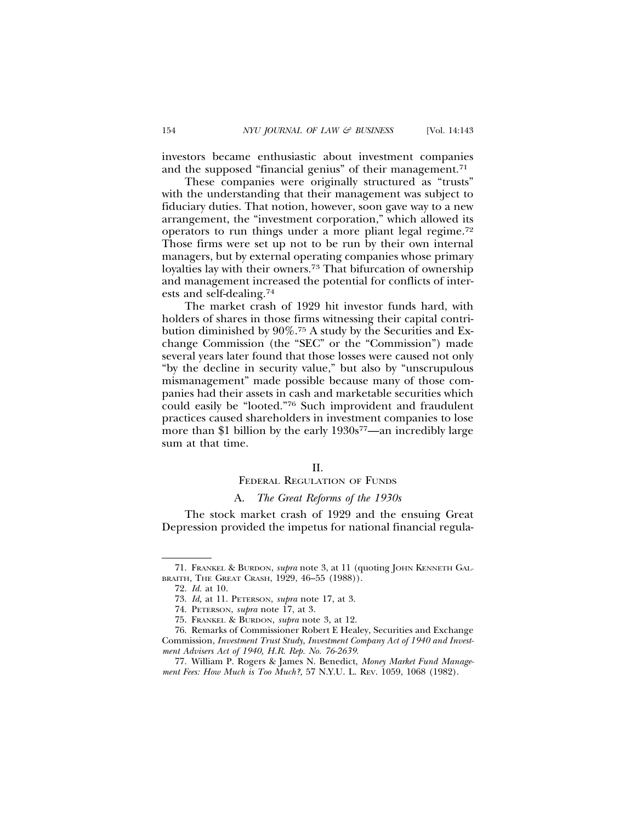investors became enthusiastic about investment companies and the supposed "financial genius" of their management.<sup>71</sup>

These companies were originally structured as "trusts" with the understanding that their management was subject to fiduciary duties. That notion, however, soon gave way to a new arrangement, the "investment corporation," which allowed its operators to run things under a more pliant legal regime.72 Those firms were set up not to be run by their own internal managers, but by external operating companies whose primary loyalties lay with their owners.73 That bifurcation of ownership and management increased the potential for conflicts of interests and self-dealing.74

The market crash of 1929 hit investor funds hard, with holders of shares in those firms witnessing their capital contribution diminished by 90%.75 A study by the Securities and Exchange Commission (the "SEC" or the "Commission") made several years later found that those losses were caused not only "by the decline in security value," but also by "unscrupulous mismanagement" made possible because many of those companies had their assets in cash and marketable securities which could easily be "looted."76 Such improvident and fraudulent practices caused shareholders in investment companies to lose more than \$1 billion by the early  $1930s^{77}$ —an incredibly large sum at that time.

#### II.

## FEDERAL REGULATION OF FUNDS

## A. *The Great Reforms of the 1930s*

The stock market crash of 1929 and the ensuing Great Depression provided the impetus for national financial regula-

<sup>71.</sup> FRANKEL & BURDON, *supra* note 3, at 11 (quoting JOHN KENNETH GAL-BRAITH, THE GREAT CRASH, 1929, 46–55 (1988)).

<sup>72.</sup> *Id.* at 10.

<sup>73.</sup> *Id,* at 11. PETERSON, *supra* note 17, at 3.

<sup>74.</sup> PETERSON, *supra* note 17, at 3.

<sup>75.</sup> FRANKEL & BURDON, *supra* note 3, at 12.

<sup>76.</sup> Remarks of Commissioner Robert E Healey, Securities and Exchange Commission, *Investment Trust Study, Investment Company Act of 1940 and Investment Advisers Act of 1940, H.R. Rep. No. 76-2639.*

<sup>77.</sup> William P. Rogers & James N. Benedict, *Money Market Fund Management Fees: How Much is Too Much?,* 57 N.Y.U. L. REV. 1059, 1068 (1982).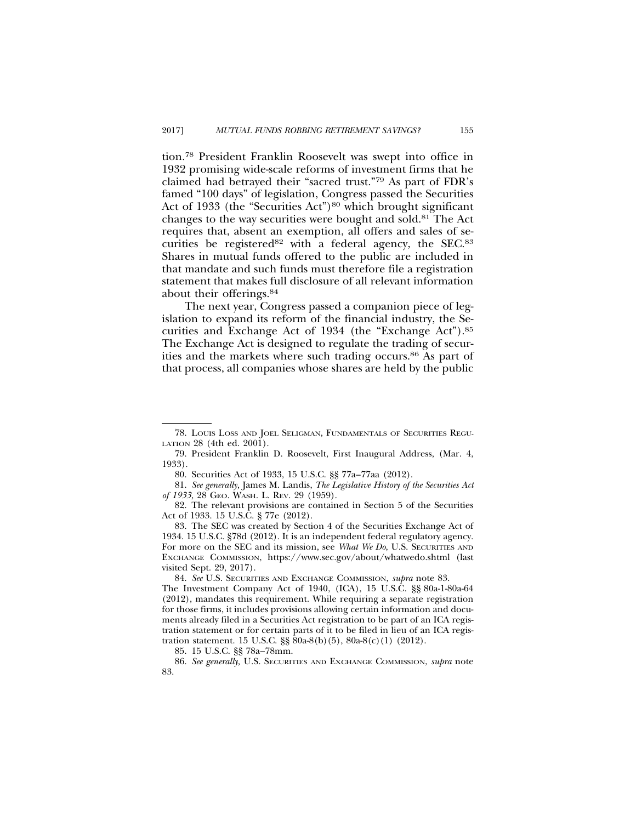tion.78 President Franklin Roosevelt was swept into office in 1932 promising wide-scale reforms of investment firms that he claimed had betrayed their "sacred trust."79 As part of FDR's famed "100 days" of legislation, Congress passed the Securities Act of 1933 (the "Securities Act")<sup>80</sup> which brought significant changes to the way securities were bought and sold.81 The Act requires that, absent an exemption, all offers and sales of securities be registered<sup>82</sup> with a federal agency, the SEC.<sup>83</sup> Shares in mutual funds offered to the public are included in that mandate and such funds must therefore file a registration statement that makes full disclosure of all relevant information about their offerings.84

The next year, Congress passed a companion piece of legislation to expand its reform of the financial industry, the Securities and Exchange Act of 1934 (the "Exchange Act").85 The Exchange Act is designed to regulate the trading of securities and the markets where such trading occurs.86 As part of that process, all companies whose shares are held by the public

<sup>78.</sup> LOUIS LOSS AND JOEL SELIGMAN, FUNDAMENTALS OF SECURITIES REGU-LATION 28 (4th ed. 2001).

<sup>79.</sup> President Franklin D. Roosevelt, First Inaugural Address, (Mar. 4, 1933).

<sup>80.</sup> Securities Act of 1933, 15 U.S.C. §§ 77a–77aa (2012).

<sup>81.</sup> *See generally,* James M. Landis, *The Legislative History of the Securities Act of 1933*, 28 GEO. WASH. L. REV. 29 (1959).

<sup>82.</sup> The relevant provisions are contained in Section 5 of the Securities Act of 1933. 15 U.S.C. § 77e (2012).

<sup>83.</sup> The SEC was created by Section 4 of the Securities Exchange Act of 1934. 15 U.S.C. §78d (2012). It is an independent federal regulatory agency. For more on the SEC and its mission, see *What We Do*, U.S. SECURITIES AND EXCHANGE COMMISSION, https://www.sec.gov/about/whatwedo.shtml (last visited Sept. 29, 2017).

<sup>84.</sup> *See* U.S. SECURITIES AND EXCHANGE COMMISSION, *supra* note 83.

The Investment Company Act of 1940, (ICA), 15 U.S.C. §§ 80a-1-80a-64 (2012), mandates this requirement. While requiring a separate registration for those firms, it includes provisions allowing certain information and documents already filed in a Securities Act registration to be part of an ICA registration statement or for certain parts of it to be filed in lieu of an ICA registration statement. 15 U.S.C. §§ 80a-8(b)(5), 80a-8(c)(1) (2012).

<sup>85. 15</sup> U.S.C. §§ 78a–78mm.

<sup>86.</sup> *See generally,* U.S. SECURITIES AND EXCHANGE COMMISSION, *supra* note 83.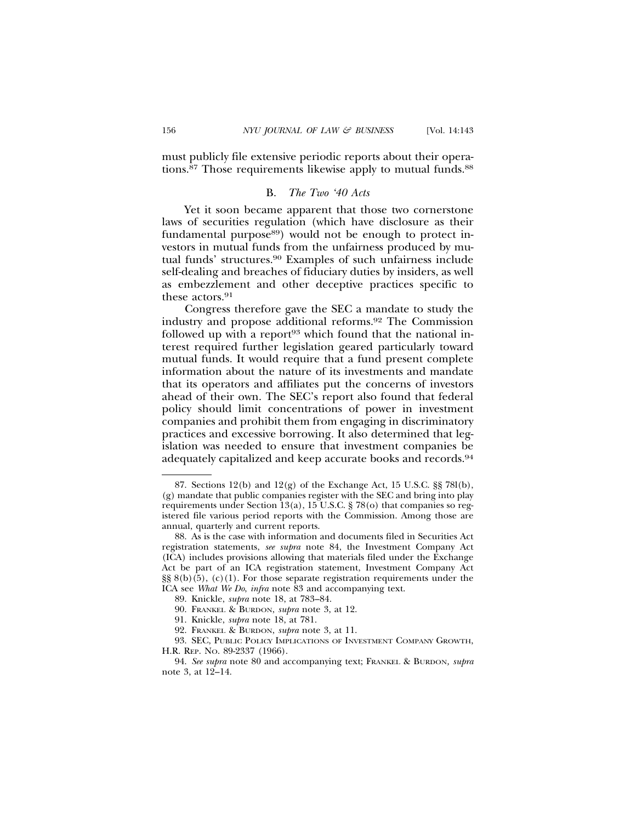must publicly file extensive periodic reports about their operations.<sup>87</sup> Those requirements likewise apply to mutual funds.<sup>88</sup>

### B. *The Two '40 Acts*

Yet it soon became apparent that those two cornerstone laws of securities regulation (which have disclosure as their fundamental purpose<sup>89</sup>) would not be enough to protect investors in mutual funds from the unfairness produced by mutual funds' structures.90 Examples of such unfairness include self-dealing and breaches of fiduciary duties by insiders, as well as embezzlement and other deceptive practices specific to these actors.<sup>91</sup>

Congress therefore gave the SEC a mandate to study the industry and propose additional reforms.92 The Commission followed up with a report<sup>93</sup> which found that the national interest required further legislation geared particularly toward mutual funds. It would require that a fund present complete information about the nature of its investments and mandate that its operators and affiliates put the concerns of investors ahead of their own. The SEC's report also found that federal policy should limit concentrations of power in investment companies and prohibit them from engaging in discriminatory practices and excessive borrowing. It also determined that legislation was needed to ensure that investment companies be adequately capitalized and keep accurate books and records.94

<sup>87.</sup> Sections 12(b) and 12(g) of the Exchange Act, 15 U.S.C. §§ 78l(b), (g) mandate that public companies register with the SEC and bring into play requirements under Section 13(a), 15 U.S.C. § 78(o) that companies so registered file various period reports with the Commission. Among those are annual, quarterly and current reports.

<sup>88.</sup> As is the case with information and documents filed in Securities Act registration statements, *see supra* note 84, the Investment Company Act (ICA) includes provisions allowing that materials filed under the Exchange Act be part of an ICA registration statement, Investment Company Act  $\S$ § 8(b)(5), (c)(1). For those separate registration requirements under the ICA see *What We Do*, *infra* note 83 and accompanying text.

<sup>89.</sup> Knickle, *supra* note 18, at 783–84.

<sup>90.</sup> FRANKEL & BURDON, *supra* note 3, at 12.

<sup>91.</sup> Knickle, *supra* note 18, at 781.

<sup>92.</sup> FRANKEL & BURDON, *supra* note 3, at 11.

<sup>93.</sup> SEC, PUBLIC POLICY IMPLICATIONS OF INVESTMENT COMPANY GROWTH, H.R. REP. NO. 89-2337 (1966).

<sup>94.</sup> *See supra* note 80 and accompanying text; FRANKEL & BURDON*, supra* note 3, at 12–14.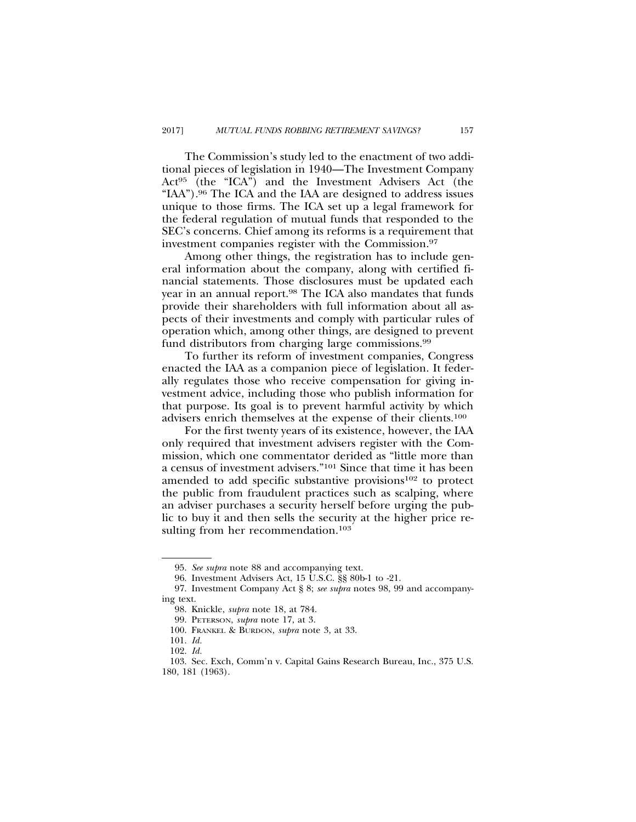The Commission's study led to the enactment of two additional pieces of legislation in 1940—The Investment Company Act95 (the "ICA") and the Investment Advisers Act (the "IAA").96 The ICA and the IAA are designed to address issues unique to those firms. The ICA set up a legal framework for the federal regulation of mutual funds that responded to the SEC's concerns. Chief among its reforms is a requirement that investment companies register with the Commission.97

Among other things, the registration has to include general information about the company, along with certified financial statements. Those disclosures must be updated each year in an annual report.<sup>98</sup> The ICA also mandates that funds provide their shareholders with full information about all aspects of their investments and comply with particular rules of operation which, among other things, are designed to prevent fund distributors from charging large commissions.99

To further its reform of investment companies, Congress enacted the IAA as a companion piece of legislation. It federally regulates those who receive compensation for giving investment advice, including those who publish information for that purpose. Its goal is to prevent harmful activity by which advisers enrich themselves at the expense of their clients.100

For the first twenty years of its existence, however, the IAA only required that investment advisers register with the Commission, which one commentator derided as "little more than a census of investment advisers."101 Since that time it has been amended to add specific substantive provisions<sup>102</sup> to protect the public from fraudulent practices such as scalping, where an adviser purchases a security herself before urging the public to buy it and then sells the security at the higher price resulting from her recommendation.<sup>103</sup>

<sup>95.</sup> *See supra* note 88 and accompanying text.

<sup>96.</sup> Investment Advisers Act, 15 U.S.C. §§ 80b-1 to -21.

<sup>97.</sup> Investment Company Act § 8; *see supra* notes 98, 99 and accompanying text.

<sup>98.</sup> Knickle, *supra* note 18, at 784.

<sup>99.</sup> PETERSON, *supra* note 17, at 3.

<sup>100.</sup> FRANKEL & BURDON, *supra* note 3, at 33.

<sup>101.</sup> *Id.*

<sup>102.</sup> *Id.*

<sup>103.</sup> Sec. Exch, Comm'n v. Capital Gains Research Bureau, Inc., 375 U.S. 180, 181 (1963).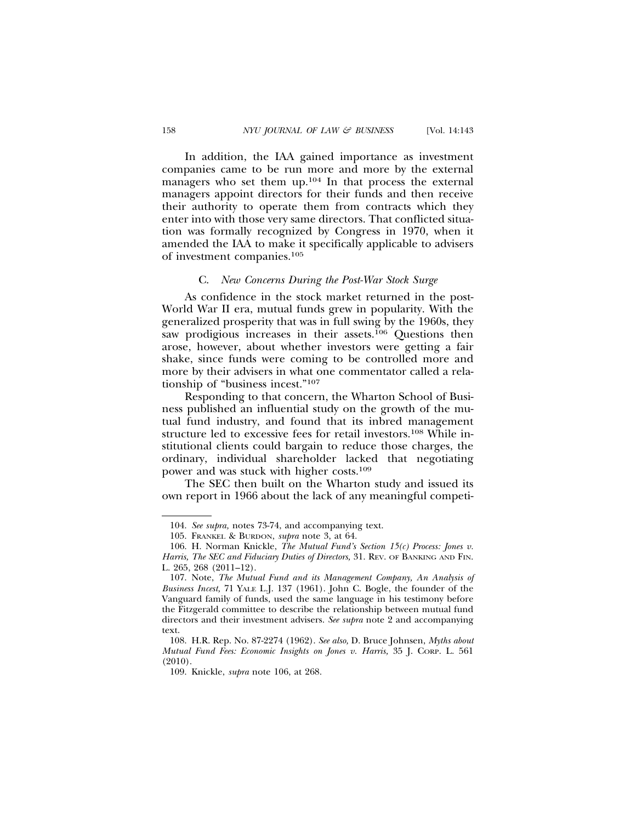In addition, the IAA gained importance as investment companies came to be run more and more by the external managers who set them up.<sup>104</sup> In that process the external managers appoint directors for their funds and then receive their authority to operate them from contracts which they enter into with those very same directors. That conflicted situation was formally recognized by Congress in 1970, when it amended the IAA to make it specifically applicable to advisers of investment companies.105

#### C. *New Concerns During the Post-War Stock Surge*

As confidence in the stock market returned in the post-World War II era, mutual funds grew in popularity. With the generalized prosperity that was in full swing by the 1960s, they saw prodigious increases in their assets.<sup>106</sup> Questions then arose, however, about whether investors were getting a fair shake, since funds were coming to be controlled more and more by their advisers in what one commentator called a relationship of "business incest."107

Responding to that concern, the Wharton School of Business published an influential study on the growth of the mutual fund industry, and found that its inbred management structure led to excessive fees for retail investors.108 While institutional clients could bargain to reduce those charges, the ordinary, individual shareholder lacked that negotiating power and was stuck with higher costs.109

The SEC then built on the Wharton study and issued its own report in 1966 about the lack of any meaningful competi-

<sup>104.</sup> *See supra,* notes 73-74, and accompanying text.

<sup>105.</sup> FRANKEL & BURDON, *supra* note 3, at 64.

<sup>106.</sup> H. Norman Knickle, *The Mutual Fund's Section 15(c) Process: Jones v. Harris, The SEC and Fiduciary Duties of Directors,* 31. REV. OF BANKING AND FIN. L. 265, 268 (2011–12).

<sup>107.</sup> Note, *The Mutual Fund and its Management Company, An Analysis of Business Incest,* 71 YALE L.J. 137 (1961). John C. Bogle, the founder of the Vanguard family of funds, used the same language in his testimony before the Fitzgerald committee to describe the relationship between mutual fund directors and their investment advisers. *See supra* note 2 and accompanying text.

<sup>108.</sup> H.R. Rep. No. 87-2274 (1962). *See also,* D. Bruce Johnsen, *Myths about Mutual Fund Fees: Economic Insights on Jones v. Harris,* 35 J. CORP. L. 561 (2010).

<sup>109.</sup> Knickle, *supra* note 106, at 268.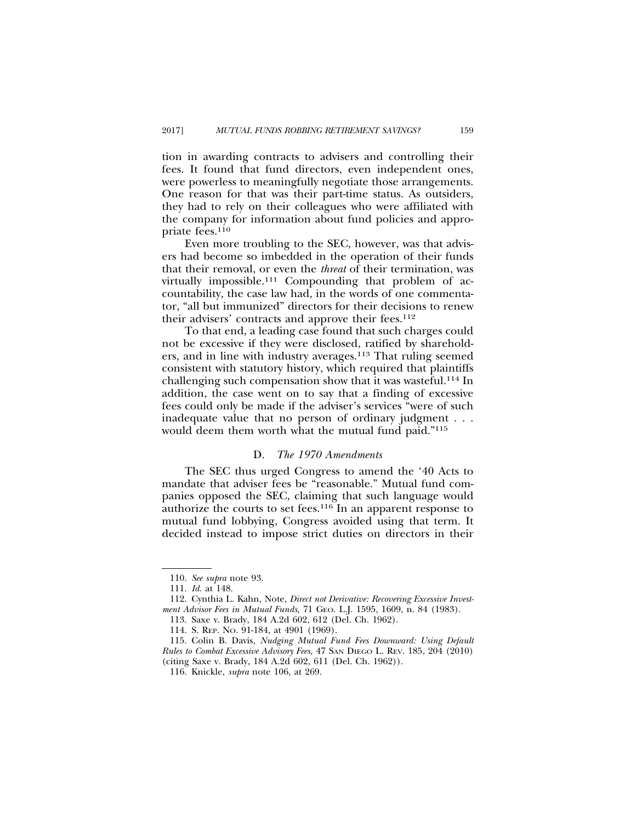tion in awarding contracts to advisers and controlling their fees. It found that fund directors, even independent ones, were powerless to meaningfully negotiate those arrangements. One reason for that was their part-time status. As outsiders, they had to rely on their colleagues who were affiliated with the company for information about fund policies and appropriate fees.110

Even more troubling to the SEC, however, was that advisers had become so imbedded in the operation of their funds that their removal, or even the *threat* of their termination, was virtually impossible.111 Compounding that problem of accountability, the case law had, in the words of one commentator, "all but immunized" directors for their decisions to renew their advisers' contracts and approve their fees.112

To that end, a leading case found that such charges could not be excessive if they were disclosed, ratified by shareholders, and in line with industry averages.113 That ruling seemed consistent with statutory history, which required that plaintiffs challenging such compensation show that it was wasteful.114 In addition, the case went on to say that a finding of excessive fees could only be made if the adviser's services "were of such inadequate value that no person of ordinary judgment . . . would deem them worth what the mutual fund paid."115

#### D. *The 1970 Amendments*

The SEC thus urged Congress to amend the '40 Acts to mandate that adviser fees be "reasonable." Mutual fund companies opposed the SEC, claiming that such language would authorize the courts to set fees.<sup>116</sup> In an apparent response to mutual fund lobbying, Congress avoided using that term. It decided instead to impose strict duties on directors in their

<sup>110.</sup> *See supra* note 93.

<sup>111.</sup> *Id.* at 148.

<sup>112.</sup> Cynthia L. Kahn, Note, *Direct not Derivative: Recovering Excessive Investment Advisor Fees in Mutual Funds,* 71 GEO. L.J. 1595, 1609, n. 84 (1983).

<sup>113.</sup> Saxe v. Brady, 184 A.2d 602, 612 (Del. Ch. 1962).

<sup>114.</sup> S. REP. NO. 91-184, at 4901 (1969).

<sup>115.</sup> Colin B. Davis, *Nudging Mutual Fund Fees Downward: Using Default Rules to Combat Excessive Advisory Fees,* 47 SAN DIEGO L. REV. 185, 204 (2010) (citing Saxe v. Brady, 184 A.2d 602, 611 (Del. Ch. 1962)).

<sup>116.</sup> Knickle, *supra* note 106, at 269.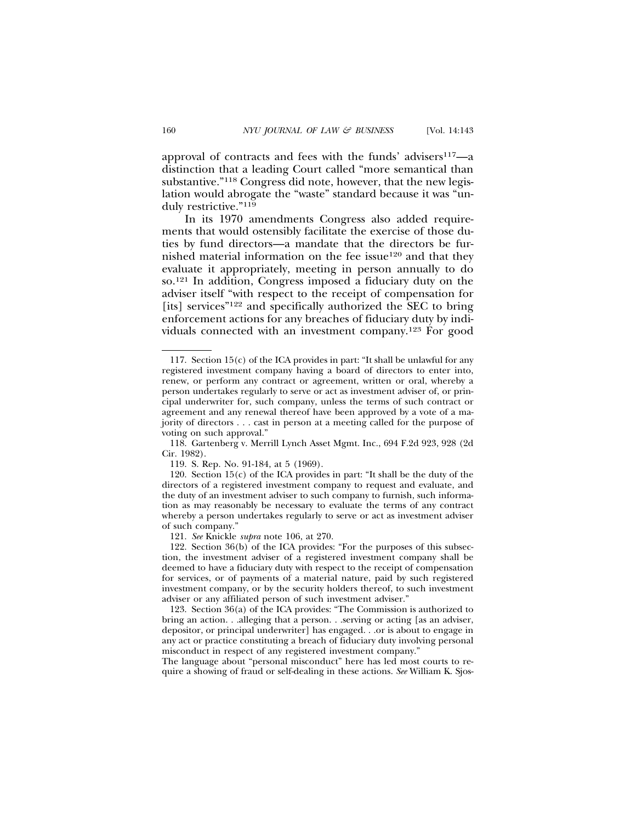approval of contracts and fees with the funds' advisers<sup>117</sup>-a distinction that a leading Court called "more semantical than substantive."118 Congress did note, however, that the new legislation would abrogate the "waste" standard because it was "unduly restrictive."119

In its 1970 amendments Congress also added requirements that would ostensibly facilitate the exercise of those duties by fund directors—a mandate that the directors be furnished material information on the fee issue<sup>120</sup> and that they evaluate it appropriately, meeting in person annually to do so.121 In addition, Congress imposed a fiduciary duty on the adviser itself "with respect to the receipt of compensation for [its] services"122 and specifically authorized the SEC to bring enforcement actions for any breaches of fiduciary duty by individuals connected with an investment company.123 For good

<sup>117.</sup> Section 15(c) of the ICA provides in part: "It shall be unlawful for any registered investment company having a board of directors to enter into, renew, or perform any contract or agreement, written or oral, whereby a person undertakes regularly to serve or act as investment adviser of, or principal underwriter for, such company, unless the terms of such contract or agreement and any renewal thereof have been approved by a vote of a majority of directors . . . cast in person at a meeting called for the purpose of voting on such approval."

<sup>118.</sup> Gartenberg v. Merrill Lynch Asset Mgmt. Inc., 694 F.2d 923, 928 (2d Cir. 1982).

<sup>119.</sup> S. Rep. No. 91-184, at 5 (1969).

<sup>120.</sup> Section 15(c) of the ICA provides in part: "It shall be the duty of the directors of a registered investment company to request and evaluate, and the duty of an investment adviser to such company to furnish, such information as may reasonably be necessary to evaluate the terms of any contract whereby a person undertakes regularly to serve or act as investment adviser of such company."

<sup>121.</sup> *See* Knickle *supra* note 106, at 270.

<sup>122.</sup> Section 36(b) of the ICA provides: "For the purposes of this subsection, the investment adviser of a registered investment company shall be deemed to have a fiduciary duty with respect to the receipt of compensation for services, or of payments of a material nature, paid by such registered investment company, or by the security holders thereof, to such investment adviser or any affiliated person of such investment adviser."

<sup>123.</sup> Section 36(a) of the ICA provides: "The Commission is authorized to bring an action. . .alleging that a person. . .serving or acting [as an adviser, depositor, or principal underwriter] has engaged. . .or is about to engage in any act or practice constituting a breach of fiduciary duty involving personal misconduct in respect of any registered investment company."

The language about "personal misconduct" here has led most courts to require a showing of fraud or self-dealing in these actions. *See* William K. Sjos-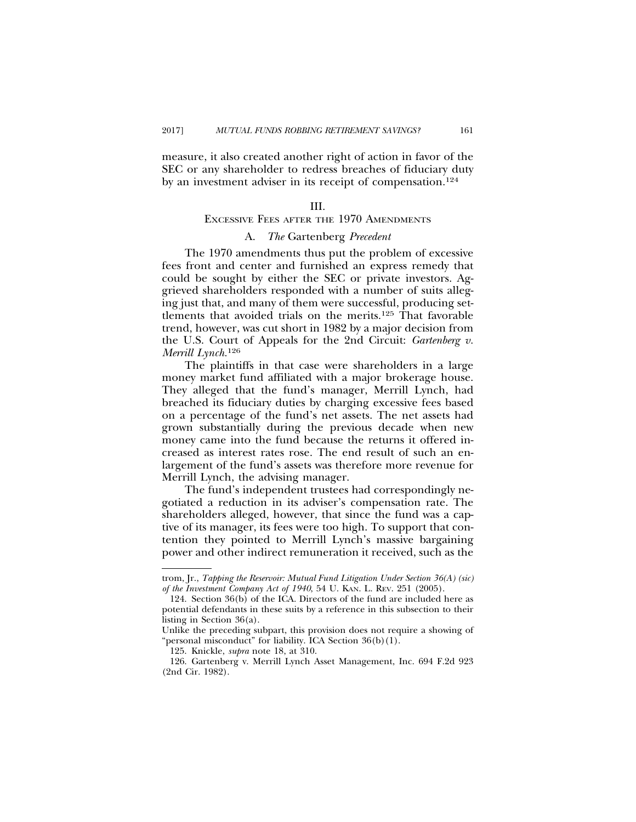measure, it also created another right of action in favor of the SEC or any shareholder to redress breaches of fiduciary duty by an investment adviser in its receipt of compensation.124

#### III.

## EXCESSIVE FEES AFTER THE 1970 AMENDMENTS

#### A. *The* Gartenberg *Precedent*

The 1970 amendments thus put the problem of excessive fees front and center and furnished an express remedy that could be sought by either the SEC or private investors. Aggrieved shareholders responded with a number of suits alleging just that, and many of them were successful, producing settlements that avoided trials on the merits.125 That favorable trend, however, was cut short in 1982 by a major decision from the U.S. Court of Appeals for the 2nd Circuit: *Gartenberg v. Merrill Lynch.*<sup>126</sup>

The plaintiffs in that case were shareholders in a large money market fund affiliated with a major brokerage house. They alleged that the fund's manager, Merrill Lynch, had breached its fiduciary duties by charging excessive fees based on a percentage of the fund's net assets. The net assets had grown substantially during the previous decade when new money came into the fund because the returns it offered increased as interest rates rose. The end result of such an enlargement of the fund's assets was therefore more revenue for Merrill Lynch, the advising manager.

The fund's independent trustees had correspondingly negotiated a reduction in its adviser's compensation rate. The shareholders alleged, however, that since the fund was a captive of its manager, its fees were too high. To support that contention they pointed to Merrill Lynch's massive bargaining power and other indirect remuneration it received, such as the

trom, Jr., *Tapping the Reservoir: Mutual Fund Litigation Under Section 36(A) (sic) of the Investment Company Act of 1940*, 54 U. KAN. L. REV. 251 (2005).

<sup>124.</sup> Section 36(b) of the ICA. Directors of the fund are included here as potential defendants in these suits by a reference in this subsection to their listing in Section 36(a).

Unlike the preceding subpart, this provision does not require a showing of "personal misconduct" for liability. ICA Section 36(b)(1).

<sup>125.</sup> Knickle, *supra* note 18, at 310.

<sup>126.</sup> Gartenberg v. Merrill Lynch Asset Management, Inc. 694 F.2d 923 (2nd Cir. 1982).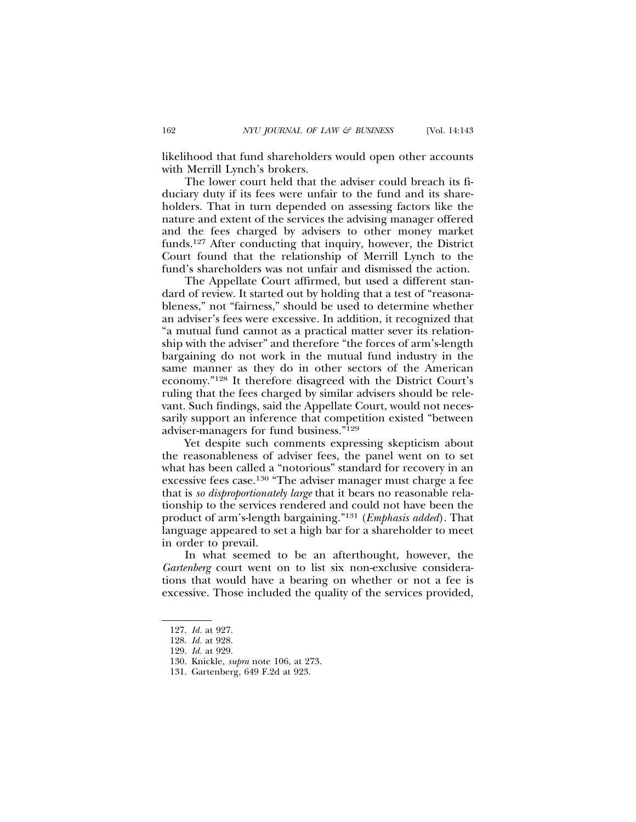likelihood that fund shareholders would open other accounts with Merrill Lynch's brokers.

The lower court held that the adviser could breach its fiduciary duty if its fees were unfair to the fund and its shareholders. That in turn depended on assessing factors like the nature and extent of the services the advising manager offered and the fees charged by advisers to other money market funds.127 After conducting that inquiry, however, the District Court found that the relationship of Merrill Lynch to the fund's shareholders was not unfair and dismissed the action.

The Appellate Court affirmed, but used a different standard of review. It started out by holding that a test of "reasonableness," not "fairness," should be used to determine whether an adviser's fees were excessive. In addition, it recognized that "a mutual fund cannot as a practical matter sever its relationship with the adviser" and therefore "the forces of arm's-length bargaining do not work in the mutual fund industry in the same manner as they do in other sectors of the American economy."128 It therefore disagreed with the District Court's ruling that the fees charged by similar advisers should be relevant. Such findings, said the Appellate Court, would not necessarily support an inference that competition existed "between adviser-managers for fund business."129

Yet despite such comments expressing skepticism about the reasonableness of adviser fees, the panel went on to set what has been called a "notorious" standard for recovery in an excessive fees case.130 "The adviser manager must charge a fee that is *so disproportionately large* that it bears no reasonable relationship to the services rendered and could not have been the product of arm's-length bargaining."131 (*Emphasis added*). That language appeared to set a high bar for a shareholder to meet in order to prevail.

In what seemed to be an afterthought, however, the *Gartenberg* court went on to list six non-exclusive considerations that would have a bearing on whether or not a fee is excessive. Those included the quality of the services provided,

<sup>127.</sup> *Id.* at 927.

<sup>128.</sup> *Id.* at 928.

<sup>129.</sup> *Id.* at 929.

<sup>130.</sup> Knickle, *supra* note 106, at 273.

<sup>131.</sup> Gartenberg, 649 F.2d at 923.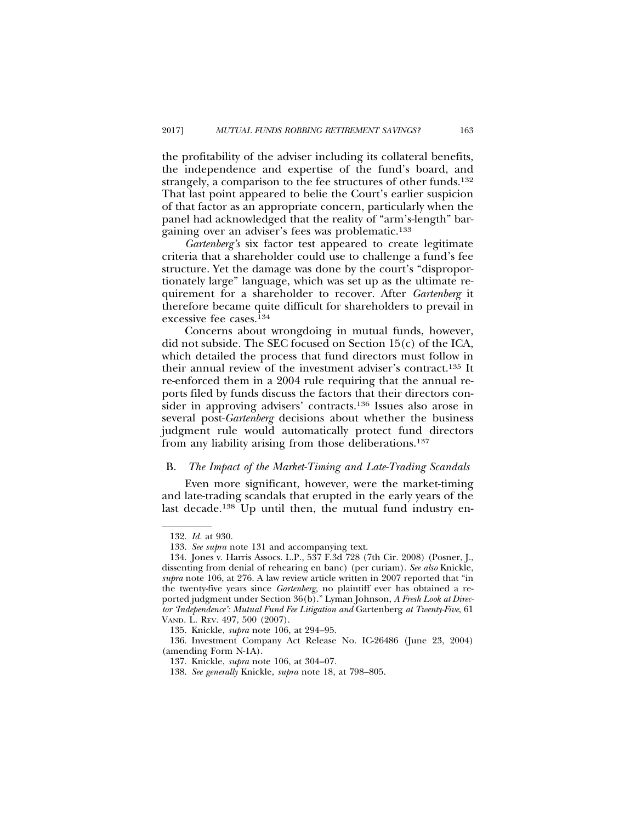the profitability of the adviser including its collateral benefits, the independence and expertise of the fund's board, and strangely, a comparison to the fee structures of other funds.<sup>132</sup> That last point appeared to belie the Court's earlier suspicion of that factor as an appropriate concern, particularly when the panel had acknowledged that the reality of "arm's-length" bargaining over an adviser's fees was problematic.133

*Gartenberg's* six factor test appeared to create legitimate criteria that a shareholder could use to challenge a fund's fee structure. Yet the damage was done by the court's "disproportionately large" language, which was set up as the ultimate requirement for a shareholder to recover. After *Gartenberg* it therefore became quite difficult for shareholders to prevail in excessive fee cases.134

Concerns about wrongdoing in mutual funds, however, did not subside. The SEC focused on Section 15(c) of the ICA, which detailed the process that fund directors must follow in their annual review of the investment adviser's contract.135 It re-enforced them in a 2004 rule requiring that the annual reports filed by funds discuss the factors that their directors consider in approving advisers' contracts.136 Issues also arose in several post-*Gartenberg* decisions about whether the business judgment rule would automatically protect fund directors from any liability arising from those deliberations.137

#### B. *The Impact of the Market-Timing and Late-Trading Scandals*

Even more significant, however, were the market-timing and late-trading scandals that erupted in the early years of the last decade.138 Up until then, the mutual fund industry en-

<sup>132.</sup> *Id.* at 930.

<sup>133.</sup> *See supra* note 131 and accompanying text.

<sup>134.</sup> Jones v. Harris Assocs. L.P., 537 F.3d 728 (7th Cir. 2008) (Posner, J., dissenting from denial of rehearing en banc) (per curiam). *See also* Knickle, *supra* note 106, at 276. A law review article written in 2007 reported that "in the twenty-five years since *Gartenberg,* no plaintiff ever has obtained a reported judgment under Section 36(b)." Lyman Johnson, *A Fresh Look at Director 'Independence': Mutual Fund Fee Litigation and* Gartenberg *at Twenty-Five*, 61 VAND. L. REV. 497, 500 (2007).

<sup>135.</sup> Knickle, *supra* note 106, at 294–95.

<sup>136.</sup> Investment Company Act Release No. IC-26486 (June 23, 2004) (amending Form N-1A).

<sup>137.</sup> Knickle, *supra* note 106, at 304–07.

<sup>138.</sup> *See generally* Knickle, *supra* note 18, at 798–805.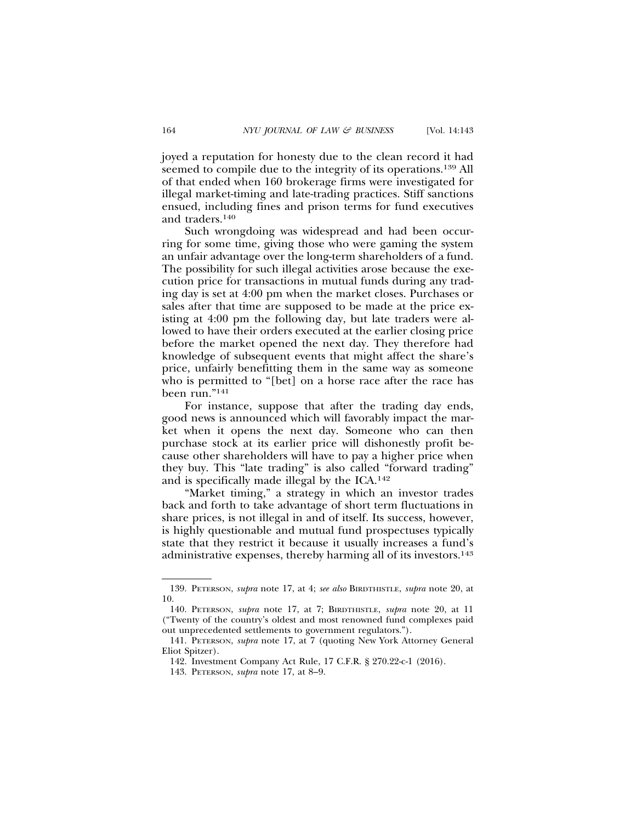joyed a reputation for honesty due to the clean record it had seemed to compile due to the integrity of its operations.139 All of that ended when 160 brokerage firms were investigated for illegal market-timing and late-trading practices. Stiff sanctions ensued, including fines and prison terms for fund executives and traders.140

Such wrongdoing was widespread and had been occurring for some time, giving those who were gaming the system an unfair advantage over the long-term shareholders of a fund. The possibility for such illegal activities arose because the execution price for transactions in mutual funds during any trading day is set at 4:00 pm when the market closes. Purchases or sales after that time are supposed to be made at the price existing at 4:00 pm the following day, but late traders were allowed to have their orders executed at the earlier closing price before the market opened the next day. They therefore had knowledge of subsequent events that might affect the share's price, unfairly benefitting them in the same way as someone who is permitted to "[bet] on a horse race after the race has been run."141

For instance, suppose that after the trading day ends, good news is announced which will favorably impact the market when it opens the next day. Someone who can then purchase stock at its earlier price will dishonestly profit because other shareholders will have to pay a higher price when they buy. This "late trading" is also called "forward trading" and is specifically made illegal by the ICA.142

"Market timing," a strategy in which an investor trades back and forth to take advantage of short term fluctuations in share prices, is not illegal in and of itself. Its success, however, is highly questionable and mutual fund prospectuses typically state that they restrict it because it usually increases a fund's administrative expenses, thereby harming all of its investors.143

<sup>139.</sup> PETERSON, *supra* note 17, at 4; *see also* BIRDTHISTLE, *supra* note 20, at 10.

<sup>140.</sup> PETERSON, *supra* note 17, at 7; BIRDTHISTLE, *supra* note 20, at 11 ("Twenty of the country's oldest and most renowned fund complexes paid out unprecedented settlements to government regulators.").

<sup>141.</sup> PETERSON, *supra* note 17, at 7 (quoting New York Attorney General Eliot Spitzer).

<sup>142.</sup> Investment Company Act Rule, 17 C.F.R. § 270.22-c-1 (2016).

<sup>143.</sup> PETERSON, *supra* note 17, at 8–9.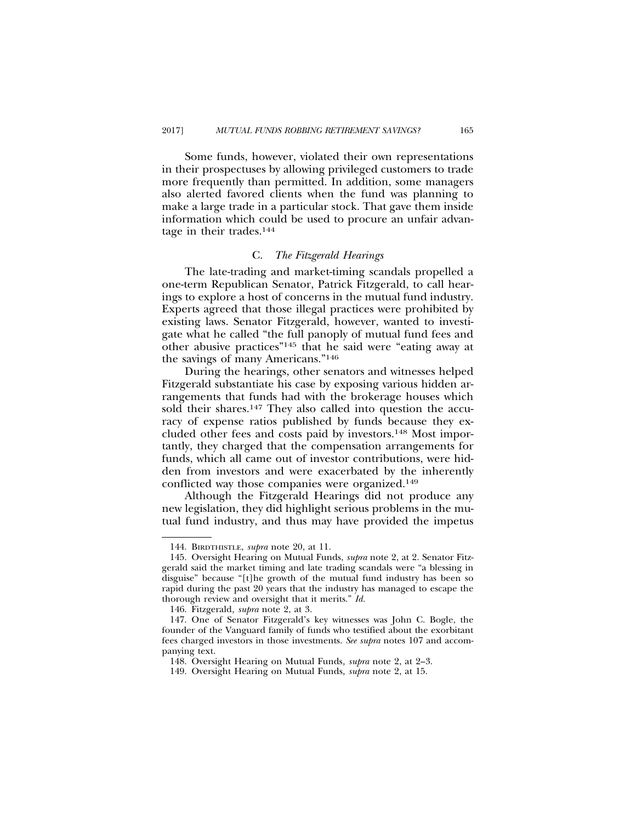Some funds, however, violated their own representations in their prospectuses by allowing privileged customers to trade more frequently than permitted. In addition, some managers also alerted favored clients when the fund was planning to make a large trade in a particular stock. That gave them inside information which could be used to procure an unfair advantage in their trades.144

## C. *The Fitzgerald Hearings*

The late-trading and market-timing scandals propelled a one-term Republican Senator, Patrick Fitzgerald, to call hearings to explore a host of concerns in the mutual fund industry. Experts agreed that those illegal practices were prohibited by existing laws. Senator Fitzgerald, however, wanted to investigate what he called "the full panoply of mutual fund fees and other abusive practices"145 that he said were "eating away at the savings of many Americans."146

During the hearings, other senators and witnesses helped Fitzgerald substantiate his case by exposing various hidden arrangements that funds had with the brokerage houses which sold their shares.<sup>147</sup> They also called into question the accuracy of expense ratios published by funds because they excluded other fees and costs paid by investors.148 Most importantly, they charged that the compensation arrangements for funds, which all came out of investor contributions, were hidden from investors and were exacerbated by the inherently conflicted way those companies were organized.149

Although the Fitzgerald Hearings did not produce any new legislation, they did highlight serious problems in the mutual fund industry, and thus may have provided the impetus

<sup>144.</sup> BIRDTHISTLE, *supra* note 20, at 11.

<sup>145.</sup> Oversight Hearing on Mutual Funds, *supra* note 2, at 2. Senator Fitzgerald said the market timing and late trading scandals were "a blessing in disguise" because "[t]he growth of the mutual fund industry has been so rapid during the past 20 years that the industry has managed to escape the thorough review and oversight that it merits." *Id.*

<sup>146.</sup> Fitzgerald*, supra* note 2, at 3.

<sup>147.</sup> One of Senator Fitzgerald's key witnesses was John C. Bogle, the founder of the Vanguard family of funds who testified about the exorbitant fees charged investors in those investments. *See supra* notes 107 and accompanying text.

<sup>148.</sup> Oversight Hearing on Mutual Funds*, supra* note 2, at 2–3.

<sup>149.</sup> Oversight Hearing on Mutual Funds*, supra* note 2, at 15.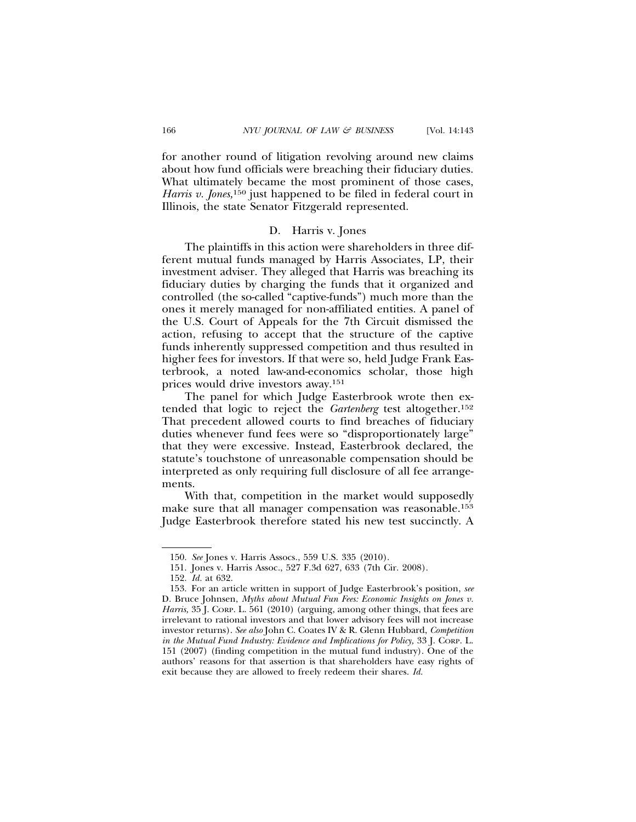for another round of litigation revolving around new claims about how fund officials were breaching their fiduciary duties. What ultimately became the most prominent of those cases, *Harris v. Jones*,<sup>150</sup> just happened to be filed in federal court in Illinois, the state Senator Fitzgerald represented.

#### D. Harris v. Jones

The plaintiffs in this action were shareholders in three different mutual funds managed by Harris Associates, LP, their investment adviser. They alleged that Harris was breaching its fiduciary duties by charging the funds that it organized and controlled (the so-called "captive-funds") much more than the ones it merely managed for non-affiliated entities. A panel of the U.S. Court of Appeals for the 7th Circuit dismissed the action, refusing to accept that the structure of the captive funds inherently suppressed competition and thus resulted in higher fees for investors. If that were so, held Judge Frank Easterbrook, a noted law-and-economics scholar, those high prices would drive investors away.151

The panel for which Judge Easterbrook wrote then extended that logic to reject the *Gartenberg* test altogether.152 That precedent allowed courts to find breaches of fiduciary duties whenever fund fees were so "disproportionately large" that they were excessive. Instead, Easterbrook declared, the statute's touchstone of unreasonable compensation should be interpreted as only requiring full disclosure of all fee arrangements.

With that, competition in the market would supposedly make sure that all manager compensation was reasonable.<sup>153</sup> Judge Easterbrook therefore stated his new test succinctly. A

<sup>150.</sup> *See* Jones v. Harris Assocs., 559 U.S. 335 (2010).

<sup>151.</sup> Jones v. Harris Assoc., 527 F.3d 627, 633 (7th Cir. 2008).

<sup>152.</sup> *Id.* at 632.

<sup>153.</sup> For an article written in support of Judge Easterbrook's position, *see* D. Bruce Johnsen, *Myths about Mutual Fun Fees: Economic Insights on Jones v. Harris,* 35 J. CORP. L. 561 (2010) (arguing, among other things, that fees are irrelevant to rational investors and that lower advisory fees will not increase investor returns). *See also* John C. Coates IV & R. Glenn Hubbard, *Competition in the Mutual Fund Industry: Evidence and Implications for Policy,* 33 J. CORP. L. 151 (2007) (finding competition in the mutual fund industry). One of the authors' reasons for that assertion is that shareholders have easy rights of exit because they are allowed to freely redeem their shares. *Id.*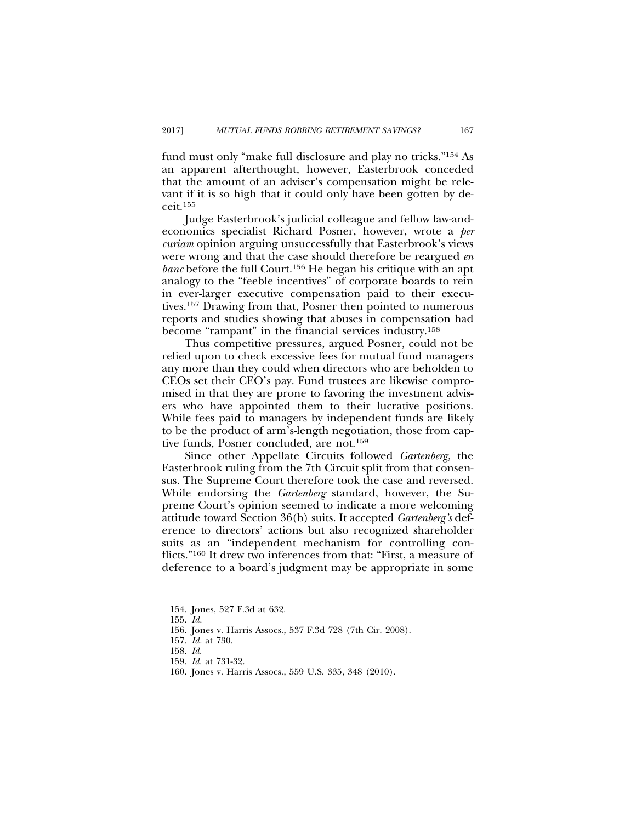fund must only "make full disclosure and play no tricks."154 As an apparent afterthought, however, Easterbrook conceded that the amount of an adviser's compensation might be relevant if it is so high that it could only have been gotten by deceit.155

Judge Easterbrook's judicial colleague and fellow law-andeconomics specialist Richard Posner, however, wrote a *per curiam* opinion arguing unsuccessfully that Easterbrook's views were wrong and that the case should therefore be reargued *en banc* before the full Court.156 He began his critique with an apt analogy to the "feeble incentives" of corporate boards to rein in ever-larger executive compensation paid to their executives.157 Drawing from that, Posner then pointed to numerous reports and studies showing that abuses in compensation had become "rampant" in the financial services industry.158

Thus competitive pressures, argued Posner, could not be relied upon to check excessive fees for mutual fund managers any more than they could when directors who are beholden to CEOs set their CEO's pay. Fund trustees are likewise compromised in that they are prone to favoring the investment advisers who have appointed them to their lucrative positions. While fees paid to managers by independent funds are likely to be the product of arm's-length negotiation, those from captive funds, Posner concluded, are not.159

Since other Appellate Circuits followed *Gartenberg,* the Easterbrook ruling from the 7th Circuit split from that consensus. The Supreme Court therefore took the case and reversed. While endorsing the *Gartenberg* standard, however, the Supreme Court's opinion seemed to indicate a more welcoming attitude toward Section 36(b) suits. It accepted *Gartenberg's* deference to directors' actions but also recognized shareholder suits as an "independent mechanism for controlling conflicts."160 It drew two inferences from that: "First, a measure of deference to a board's judgment may be appropriate in some

<sup>154.</sup> Jones, 527 F.3d at 632.

<sup>155.</sup> *Id.*

<sup>156.</sup> Jones v. Harris Assocs., 537 F.3d 728 (7th Cir. 2008).

<sup>157.</sup> *Id.* at 730.

<sup>158.</sup> *Id.*

<sup>159.</sup> *Id.* at 731-32.

<sup>160.</sup> Jones v. Harris Assocs., 559 U.S. 335, 348 (2010).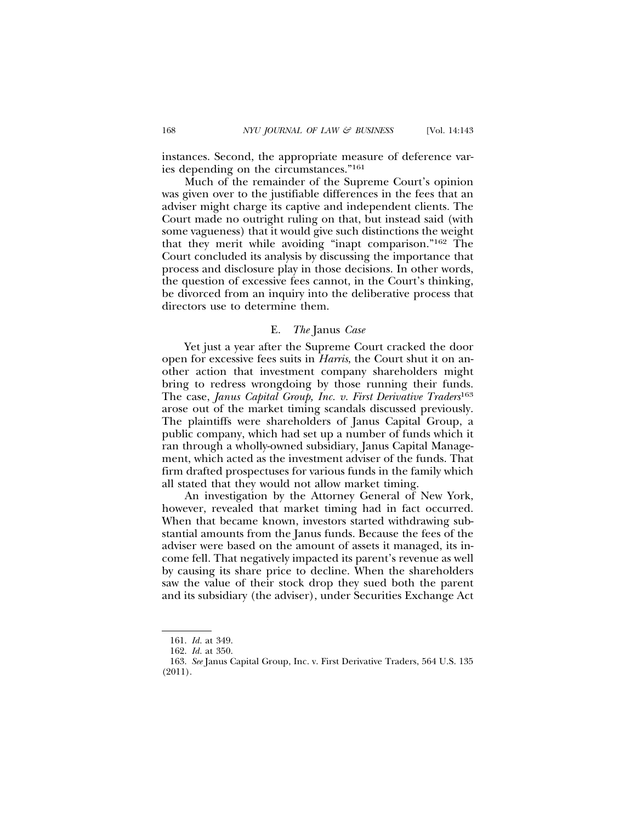instances. Second, the appropriate measure of deference varies depending on the circumstances."161

Much of the remainder of the Supreme Court's opinion was given over to the justifiable differences in the fees that an adviser might charge its captive and independent clients. The Court made no outright ruling on that, but instead said (with some vagueness) that it would give such distinctions the weight that they merit while avoiding "inapt comparison."162 The Court concluded its analysis by discussing the importance that process and disclosure play in those decisions. In other words, the question of excessive fees cannot, in the Court's thinking, be divorced from an inquiry into the deliberative process that directors use to determine them.

## E. *The* Janus *Case*

Yet just a year after the Supreme Court cracked the door open for excessive fees suits in *Harris*, the Court shut it on another action that investment company shareholders might bring to redress wrongdoing by those running their funds. The case, *Janus Capital Group, Inc. v. First Derivative Traders*<sup>163</sup> arose out of the market timing scandals discussed previously. The plaintiffs were shareholders of Janus Capital Group, a public company, which had set up a number of funds which it ran through a wholly-owned subsidiary, Janus Capital Management, which acted as the investment adviser of the funds. That firm drafted prospectuses for various funds in the family which all stated that they would not allow market timing.

An investigation by the Attorney General of New York, however, revealed that market timing had in fact occurred. When that became known, investors started withdrawing substantial amounts from the Janus funds. Because the fees of the adviser were based on the amount of assets it managed, its income fell. That negatively impacted its parent's revenue as well by causing its share price to decline. When the shareholders saw the value of their stock drop they sued both the parent and its subsidiary (the adviser), under Securities Exchange Act

<sup>161.</sup> *Id.* at 349.

<sup>162.</sup> *Id.* at 350.

<sup>163.</sup> *See* Janus Capital Group, Inc. v. First Derivative Traders, 564 U.S. 135 (2011).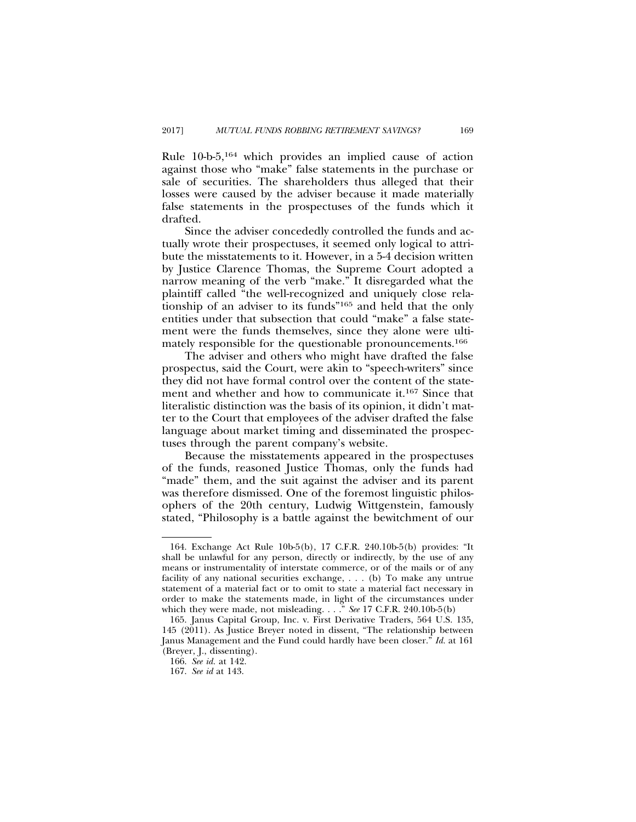Rule 10-b-5,164 which provides an implied cause of action against those who "make" false statements in the purchase or sale of securities. The shareholders thus alleged that their losses were caused by the adviser because it made materially false statements in the prospectuses of the funds which it drafted.

Since the adviser concededly controlled the funds and actually wrote their prospectuses, it seemed only logical to attribute the misstatements to it. However, in a 5-4 decision written by Justice Clarence Thomas, the Supreme Court adopted a narrow meaning of the verb "make." It disregarded what the plaintiff called "the well-recognized and uniquely close relationship of an adviser to its funds"165 and held that the only entities under that subsection that could "make" a false statement were the funds themselves, since they alone were ultimately responsible for the questionable pronouncements.166

The adviser and others who might have drafted the false prospectus, said the Court, were akin to "speech-writers" since they did not have formal control over the content of the statement and whether and how to communicate it.167 Since that literalistic distinction was the basis of its opinion, it didn't matter to the Court that employees of the adviser drafted the false language about market timing and disseminated the prospectuses through the parent company's website.

Because the misstatements appeared in the prospectuses of the funds, reasoned Justice Thomas, only the funds had "made" them, and the suit against the adviser and its parent was therefore dismissed. One of the foremost linguistic philosophers of the 20th century, Ludwig Wittgenstein, famously stated, "Philosophy is a battle against the bewitchment of our

<sup>164.</sup> Exchange Act Rule 10b-5(b), 17 C.F.R. 240.10b-5(b) provides: "It shall be unlawful for any person, directly or indirectly, by the use of any means or instrumentality of interstate commerce, or of the mails or of any facility of any national securities exchange, . . . (b) To make any untrue statement of a material fact or to omit to state a material fact necessary in order to make the statements made, in light of the circumstances under which they were made, not misleading. . . ." *See* 17 C.F.R. 240.10b-5(b)

<sup>165.</sup> Janus Capital Group, Inc. v. First Derivative Traders, 564 U.S. 135, 145 (2011). As Justice Breyer noted in dissent, "The relationship between Janus Management and the Fund could hardly have been closer." *Id.* at 161 (Breyer, J., dissenting).

<sup>166.</sup> *See id.* at 142.

<sup>167.</sup> *See id* at 143.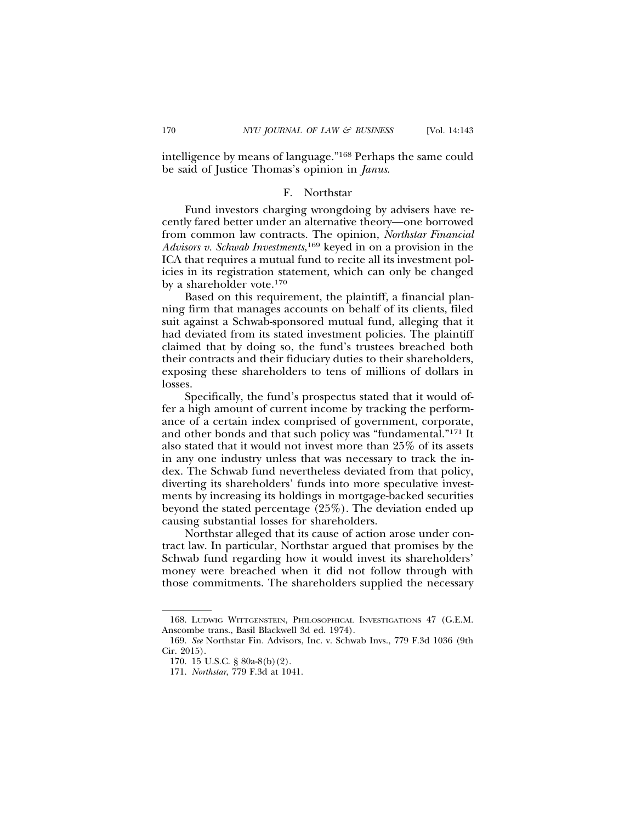intelligence by means of language."168 Perhaps the same could be said of Justice Thomas's opinion in *Janus*.

#### F. Northstar

Fund investors charging wrongdoing by advisers have recently fared better under an alternative theory—one borrowed from common law contracts. The opinion, *Northstar Financial Advisors v. Schwab Investments*, 169 keyed in on a provision in the ICA that requires a mutual fund to recite all its investment policies in its registration statement, which can only be changed by a shareholder vote.170

Based on this requirement, the plaintiff, a financial planning firm that manages accounts on behalf of its clients, filed suit against a Schwab-sponsored mutual fund, alleging that it had deviated from its stated investment policies. The plaintiff claimed that by doing so, the fund's trustees breached both their contracts and their fiduciary duties to their shareholders, exposing these shareholders to tens of millions of dollars in losses.

Specifically, the fund's prospectus stated that it would offer a high amount of current income by tracking the performance of a certain index comprised of government, corporate, and other bonds and that such policy was "fundamental."171 It also stated that it would not invest more than 25% of its assets in any one industry unless that was necessary to track the index. The Schwab fund nevertheless deviated from that policy, diverting its shareholders' funds into more speculative investments by increasing its holdings in mortgage-backed securities beyond the stated percentage (25%). The deviation ended up causing substantial losses for shareholders.

Northstar alleged that its cause of action arose under contract law. In particular, Northstar argued that promises by the Schwab fund regarding how it would invest its shareholders' money were breached when it did not follow through with those commitments. The shareholders supplied the necessary

<sup>168.</sup> LUDWIG WITTGENSTEIN, PHILOSOPHICAL INVESTIGATIONS 47 (G.E.M. Anscombe trans., Basil Blackwell 3d ed. 1974).

<sup>169.</sup> *See* Northstar Fin. Advisors, Inc. v. Schwab Invs., 779 F.3d 1036 (9th Cir. 2015).

<sup>170. 15</sup> U.S.C. § 80a-8(b)(2).

<sup>171.</sup> *Northstar*, 779 F.3d at 1041.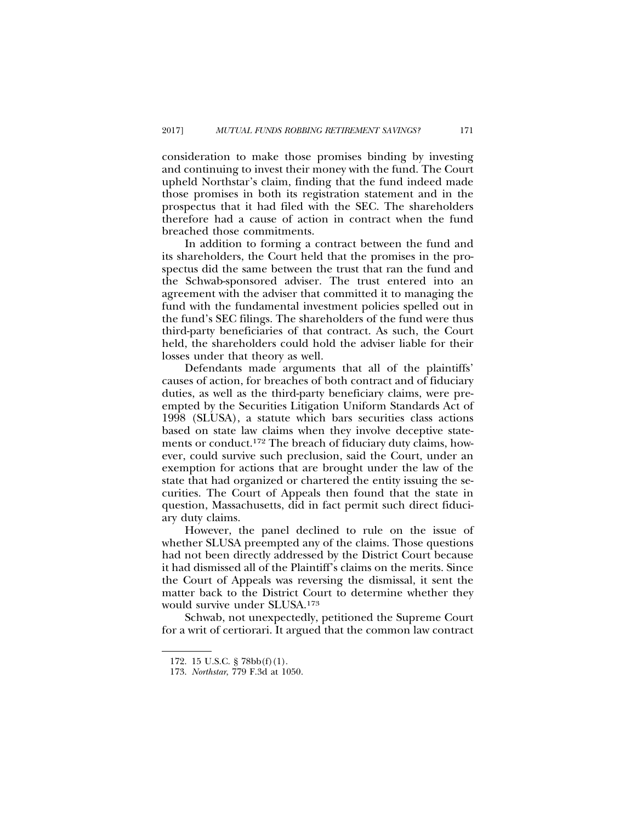consideration to make those promises binding by investing and continuing to invest their money with the fund. The Court upheld Northstar's claim, finding that the fund indeed made those promises in both its registration statement and in the prospectus that it had filed with the SEC. The shareholders therefore had a cause of action in contract when the fund breached those commitments.

In addition to forming a contract between the fund and its shareholders, the Court held that the promises in the prospectus did the same between the trust that ran the fund and the Schwab-sponsored adviser. The trust entered into an agreement with the adviser that committed it to managing the fund with the fundamental investment policies spelled out in the fund's SEC filings. The shareholders of the fund were thus third-party beneficiaries of that contract. As such, the Court held, the shareholders could hold the adviser liable for their losses under that theory as well.

Defendants made arguments that all of the plaintiffs' causes of action, for breaches of both contract and of fiduciary duties, as well as the third-party beneficiary claims, were preempted by the Securities Litigation Uniform Standards Act of 1998 (SLUSA), a statute which bars securities class actions based on state law claims when they involve deceptive statements or conduct.172 The breach of fiduciary duty claims, however, could survive such preclusion, said the Court, under an exemption for actions that are brought under the law of the state that had organized or chartered the entity issuing the securities. The Court of Appeals then found that the state in question, Massachusetts, did in fact permit such direct fiduciary duty claims.

However, the panel declined to rule on the issue of whether SLUSA preempted any of the claims. Those questions had not been directly addressed by the District Court because it had dismissed all of the Plaintiff's claims on the merits. Since the Court of Appeals was reversing the dismissal, it sent the matter back to the District Court to determine whether they would survive under SLUSA.173

Schwab, not unexpectedly, petitioned the Supreme Court for a writ of certiorari. It argued that the common law contract

<sup>172. 15</sup> U.S.C. § 78bb(f)(1).

<sup>173.</sup> *Northstar*, 779 F.3d at 1050.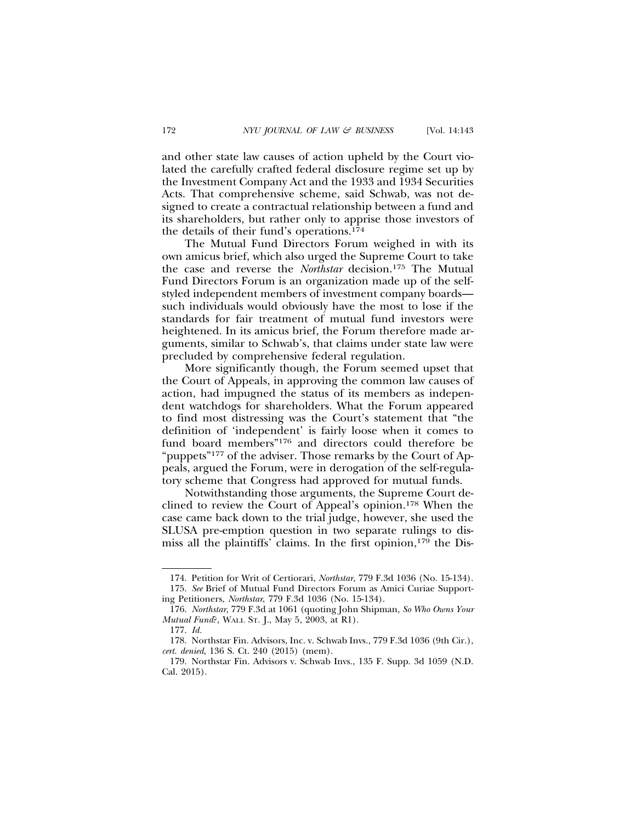and other state law causes of action upheld by the Court violated the carefully crafted federal disclosure regime set up by the Investment Company Act and the 1933 and 1934 Securities Acts. That comprehensive scheme, said Schwab, was not designed to create a contractual relationship between a fund and its shareholders, but rather only to apprise those investors of the details of their fund's operations.174

The Mutual Fund Directors Forum weighed in with its own amicus brief, which also urged the Supreme Court to take the case and reverse the *Northstar* decision.175 The Mutual Fund Directors Forum is an organization made up of the selfstyled independent members of investment company boards such individuals would obviously have the most to lose if the standards for fair treatment of mutual fund investors were heightened. In its amicus brief, the Forum therefore made arguments, similar to Schwab's, that claims under state law were precluded by comprehensive federal regulation.

More significantly though, the Forum seemed upset that the Court of Appeals, in approving the common law causes of action, had impugned the status of its members as independent watchdogs for shareholders. What the Forum appeared to find most distressing was the Court's statement that "the definition of 'independent' is fairly loose when it comes to fund board members"176 and directors could therefore be "puppets"<sup>177</sup> of the adviser. Those remarks by the Court of Appeals, argued the Forum, were in derogation of the self-regulatory scheme that Congress had approved for mutual funds.

Notwithstanding those arguments, the Supreme Court declined to review the Court of Appeal's opinion.178 When the case came back down to the trial judge, however, she used the SLUSA pre-emption question in two separate rulings to dismiss all the plaintiffs' claims. In the first opinion, $179$  the Dis-

<sup>174.</sup> Petition for Writ of Certiorari, *Northstar*, 779 F.3d 1036 (No. 15-134). 175. *See* Brief of Mutual Fund Directors Forum as Amici Curiae Supporting Petitioners, *Northstar*, 779 F.3d 1036 (No. 15-134).

<sup>176.</sup> *Northstar*, 779 F.3d at 1061 (quoting John Shipman, *So Who Owns Your Mutual Fund*?, WALL ST. J., May 5, 2003, at R1).

<sup>177.</sup> *Id.*

<sup>178.</sup> Northstar Fin. Advisors, Inc. v. Schwab Invs., 779 F.3d 1036 (9th Cir.), *cert. denied*, 136 S. Ct. 240 (2015) (mem).

<sup>179.</sup> Northstar Fin. Advisors v. Schwab Invs., 135 F. Supp. 3d 1059 (N.D. Cal. 2015).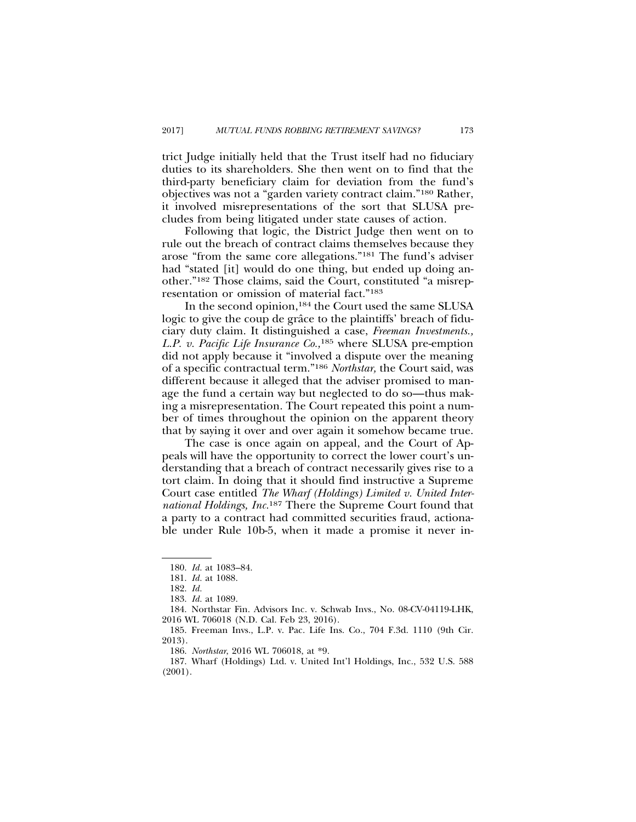trict Judge initially held that the Trust itself had no fiduciary duties to its shareholders. She then went on to find that the third-party beneficiary claim for deviation from the fund's objectives was not a "garden variety contract claim."180 Rather, it involved misrepresentations of the sort that SLUSA precludes from being litigated under state causes of action.

Following that logic, the District Judge then went on to rule out the breach of contract claims themselves because they arose "from the same core allegations."181 The fund's adviser had "stated [it] would do one thing, but ended up doing another."182 Those claims, said the Court, constituted "a misrepresentation or omission of material fact."183

In the second opinion,184 the Court used the same SLUSA logic to give the coup de grâce to the plaintiffs' breach of fiduciary duty claim. It distinguished a case, *Freeman Investments., L.P. v. Pacific Life Insurance Co.,*185 where SLUSA pre-emption did not apply because it "involved a dispute over the meaning of a specific contractual term."186 *Northstar,* the Court said, was different because it alleged that the adviser promised to manage the fund a certain way but neglected to do so—thus making a misrepresentation. The Court repeated this point a number of times throughout the opinion on the apparent theory that by saying it over and over again it somehow became true.

The case is once again on appeal, and the Court of Appeals will have the opportunity to correct the lower court's understanding that a breach of contract necessarily gives rise to a tort claim. In doing that it should find instructive a Supreme Court case entitled *The Wharf (Holdings) Limited v. United International Holdings, Inc.*187 There the Supreme Court found that a party to a contract had committed securities fraud, actionable under Rule 10b-5, when it made a promise it never in-

<sup>180.</sup> *Id.* at 1083–84.

<sup>181.</sup> *Id.* at 1088.

<sup>182.</sup> *Id.*

<sup>183.</sup> *Id.* at 1089.

<sup>184.</sup> Northstar Fin. Advisors Inc. v. Schwab Invs., No. 08-CV-04119-LHK, 2016 WL 706018 (N.D. Cal. Feb 23, 2016).

<sup>185.</sup> Freeman Invs., L.P. v. Pac. Life Ins. Co., 704 F.3d. 1110 (9th Cir. 2013).

<sup>186.</sup> *Northstar*, 2016 WL 706018, at \*9.

<sup>187.</sup> Wharf (Holdings) Ltd. v. United Int'l Holdings, Inc., 532 U.S. 588 (2001).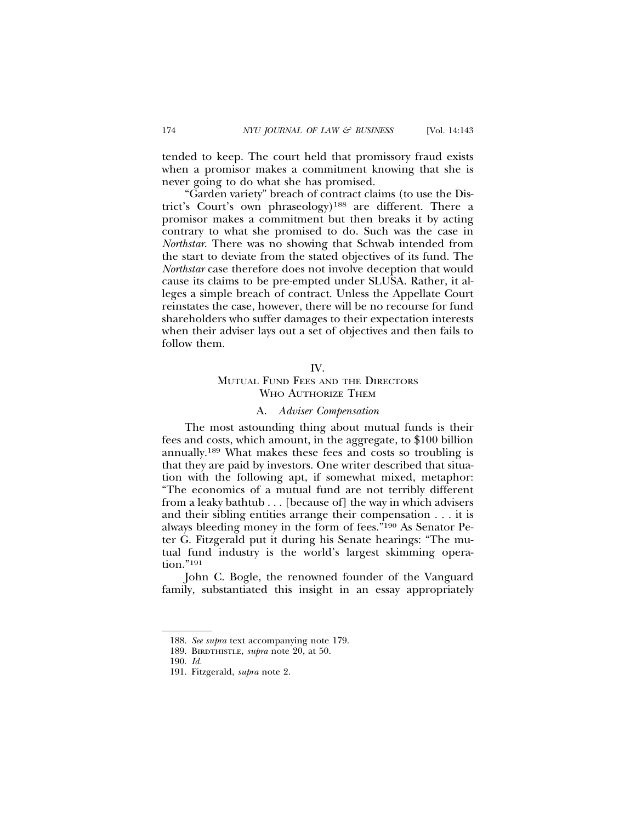tended to keep. The court held that promissory fraud exists when a promisor makes a commitment knowing that she is never going to do what she has promised.

"Garden variety" breach of contract claims (to use the District's Court's own phraseology)188 are different. There a promisor makes a commitment but then breaks it by acting contrary to what she promised to do. Such was the case in *Northstar*. There was no showing that Schwab intended from the start to deviate from the stated objectives of its fund. The *Northstar* case therefore does not involve deception that would cause its claims to be pre-empted under SLUSA. Rather, it alleges a simple breach of contract. Unless the Appellate Court reinstates the case, however, there will be no recourse for fund shareholders who suffer damages to their expectation interests when their adviser lays out a set of objectives and then fails to follow them.

#### IV.

## MUTUAL FUND FEES AND THE DIRECTORS WHO AUTHORIZE THEM

#### A. *Adviser Compensation*

The most astounding thing about mutual funds is their fees and costs, which amount, in the aggregate, to \$100 billion annually.189 What makes these fees and costs so troubling is that they are paid by investors. One writer described that situation with the following apt, if somewhat mixed, metaphor: "The economics of a mutual fund are not terribly different from a leaky bathtub . . . [because of] the way in which advisers and their sibling entities arrange their compensation . . . it is always bleeding money in the form of fees."190 As Senator Peter G. Fitzgerald put it during his Senate hearings: "The mutual fund industry is the world's largest skimming operation."191

John C. Bogle, the renowned founder of the Vanguard family, substantiated this insight in an essay appropriately

<sup>188.</sup> *See supra* text accompanying note 179.

<sup>189.</sup> BIRDTHISTLE, *supra* note 20, at 50.

<sup>190.</sup> *Id.*

<sup>191.</sup> Fitzgerald, *supra* note 2.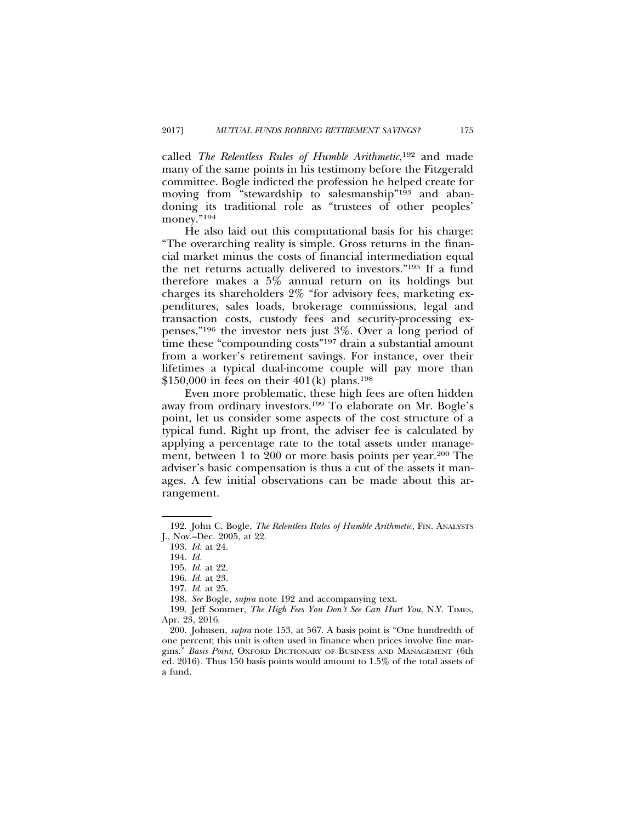called *The Relentless Rules of Humble Arithmetic*, 192 and made many of the same points in his testimony before the Fitzgerald committee. Bogle indicted the profession he helped create for moving from "stewardship to salesmanship"193 and abandoning its traditional role as "trustees of other peoples' money."<sup>194</sup>

He also laid out this computational basis for his charge: "The overarching reality is simple. Gross returns in the financial market minus the costs of financial intermediation equal the net returns actually delivered to investors."195 If a fund therefore makes a 5% annual return on its holdings but charges its shareholders 2% "for advisory fees, marketing expenditures, sales loads, brokerage commissions, legal and transaction costs, custody fees and security-processing expenses,"196 the investor nets just 3%. Over a long period of time these "compounding costs"<sup>197</sup> drain a substantial amount from a worker's retirement savings. For instance, over their lifetimes a typical dual-income couple will pay more than \$150,000 in fees on their  $401(k)$  plans.<sup>198</sup>

Even more problematic, these high fees are often hidden away from ordinary investors.199 To elaborate on Mr. Bogle's point, let us consider some aspects of the cost structure of a typical fund. Right up front, the adviser fee is calculated by applying a percentage rate to the total assets under management, between 1 to 200 or more basis points per year.200 The adviser's basic compensation is thus a cut of the assets it manages. A few initial observations can be made about this arrangement.

<sup>192.</sup> John C. Bogle, *The Relentless Rules of Humble Arithmetic*, FIN. ANALYSTS J., Nov.–Dec. 2005, at 22.

<sup>193.</sup> *Id.* at 24.

<sup>194.</sup> *Id.*

<sup>195.</sup> *Id.* at 22.

<sup>196.</sup> *Id.* at 23.

<sup>197.</sup> *Id.* at 25.

<sup>198.</sup> *See* Bogle, *supra* note 192 and accompanying text.

<sup>199.</sup> Jeff Sommer, *The High Fees You Don't See Can Hurt You*, N.Y. TIMES, Apr. 23, 2016.

<sup>200.</sup> Johnsen, *supra* note 153, at 567. A basis point is "One hundredth of one percent; this unit is often used in finance when prices involve fine margins." *Basis Point*, OXFORD DICTIONARY OF BUSINESS AND MANAGEMENT (6th ed. 2016). Thus 150 basis points would amount to 1.5% of the total assets of a fund.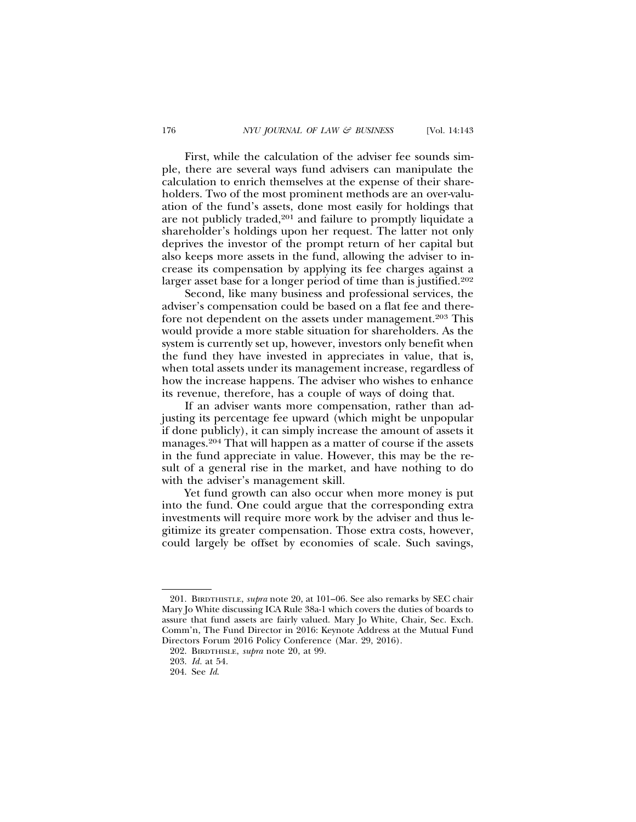First, while the calculation of the adviser fee sounds simple, there are several ways fund advisers can manipulate the calculation to enrich themselves at the expense of their shareholders. Two of the most prominent methods are an over-valuation of the fund's assets, done most easily for holdings that are not publicly traded,<sup>201</sup> and failure to promptly liquidate a shareholder's holdings upon her request. The latter not only deprives the investor of the prompt return of her capital but also keeps more assets in the fund, allowing the adviser to increase its compensation by applying its fee charges against a larger asset base for a longer period of time than is justified.<sup>202</sup>

Second, like many business and professional services, the adviser's compensation could be based on a flat fee and therefore not dependent on the assets under management.<sup>203</sup> This would provide a more stable situation for shareholders. As the system is currently set up, however, investors only benefit when the fund they have invested in appreciates in value, that is, when total assets under its management increase, regardless of how the increase happens. The adviser who wishes to enhance its revenue, therefore, has a couple of ways of doing that.

If an adviser wants more compensation, rather than adjusting its percentage fee upward (which might be unpopular if done publicly), it can simply increase the amount of assets it manages.204 That will happen as a matter of course if the assets in the fund appreciate in value. However, this may be the result of a general rise in the market, and have nothing to do with the adviser's management skill.

Yet fund growth can also occur when more money is put into the fund. One could argue that the corresponding extra investments will require more work by the adviser and thus legitimize its greater compensation. Those extra costs, however, could largely be offset by economies of scale. Such savings,

<sup>201.</sup> BIRDTHISTLE, *supra* note 20, at 101–06. See also remarks by SEC chair Mary Jo White discussing ICA Rule 38a-1 which covers the duties of boards to assure that fund assets are fairly valued. Mary Jo White, Chair, Sec. Exch. Comm'n, The Fund Director in 2016: Keynote Address at the Mutual Fund Directors Forum 2016 Policy Conference (Mar. 29, 2016).

<sup>202.</sup> BIRDTHISLE, *supra* note 20, at 99.

<sup>203.</sup> *Id.* at 54.

<sup>204.</sup> See *Id*.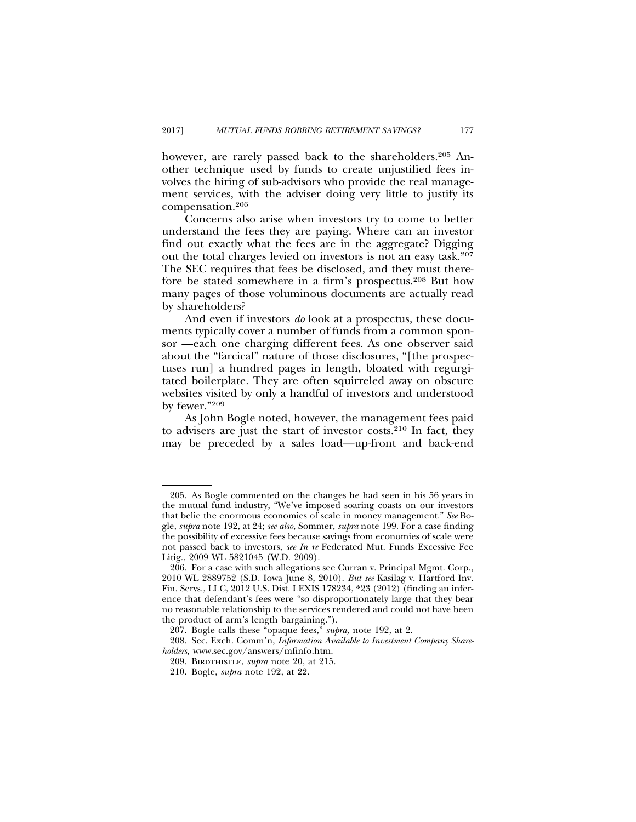however, are rarely passed back to the shareholders.<sup>205</sup> Another technique used by funds to create unjustified fees involves the hiring of sub-advisors who provide the real management services, with the adviser doing very little to justify its compensation.206

Concerns also arise when investors try to come to better understand the fees they are paying. Where can an investor find out exactly what the fees are in the aggregate? Digging out the total charges levied on investors is not an easy task.207 The SEC requires that fees be disclosed, and they must therefore be stated somewhere in a firm's prospectus.208 But how many pages of those voluminous documents are actually read by shareholders?

And even if investors *do* look at a prospectus, these documents typically cover a number of funds from a common sponsor —each one charging different fees. As one observer said about the "farcical" nature of those disclosures, "[the prospectuses run] a hundred pages in length, bloated with regurgitated boilerplate. They are often squirreled away on obscure websites visited by only a handful of investors and understood by fewer."209

As John Bogle noted, however, the management fees paid to advisers are just the start of investor costs.210 In fact, they may be preceded by a sales load—up-front and back-end

<sup>205.</sup> As Bogle commented on the changes he had seen in his 56 years in the mutual fund industry, "We've imposed soaring coasts on our investors that belie the enormous economies of scale in money management." *See* Bogle, *supra* note 192, at 24; *see also,* Sommer, *supra* note 199. For a case finding the possibility of excessive fees because savings from economies of scale were not passed back to investors, *see In re* Federated Mut. Funds Excessive Fee Litig., 2009 WL 5821045 (W.D. 2009).

<sup>206.</sup> For a case with such allegations see Curran v. Principal Mgmt. Corp., 2010 WL 2889752 (S.D. Iowa June 8, 2010). *But see* Kasilag v. Hartford Inv. Fin. Servs., LLC, 2012 U.S. Dist. LEXIS 178234, \*23 (2012) (finding an inference that defendant's fees were "so disproportionately large that they bear no reasonable relationship to the services rendered and could not have been the product of arm's length bargaining.").

<sup>207.</sup> Bogle calls these "opaque fees," *supra,* note 192, at 2.

<sup>208.</sup> Sec. Exch. Comm'n, *Information Available to Investment Company Shareholders,* www.sec.gov/answers/mfinfo.htm.

<sup>209.</sup> BIRDTHISTLE, *supra* note 20, at 215.

<sup>210.</sup> Bogle, *supra* note 192, at 22.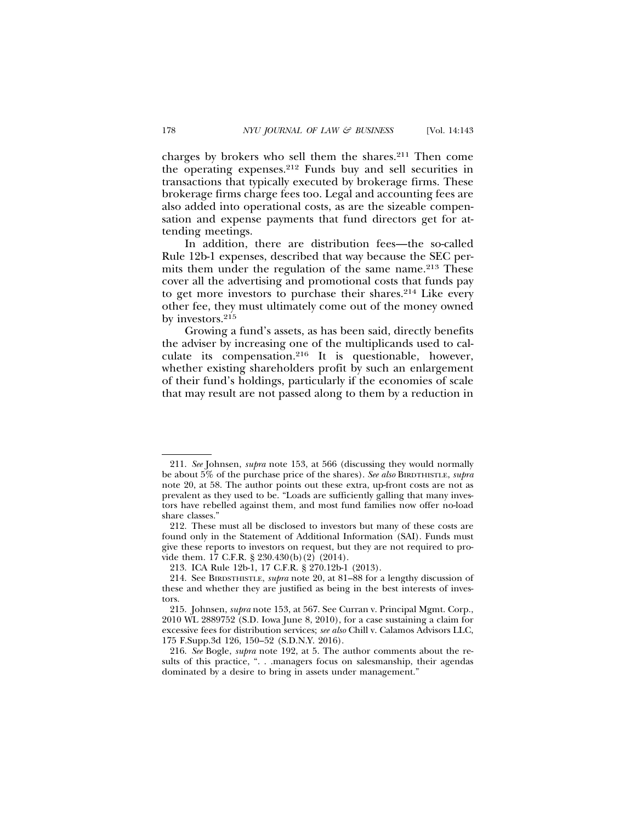charges by brokers who sell them the shares.211 Then come the operating expenses.212 Funds buy and sell securities in transactions that typically executed by brokerage firms. These brokerage firms charge fees too. Legal and accounting fees are also added into operational costs, as are the sizeable compensation and expense payments that fund directors get for attending meetings.

In addition, there are distribution fees—the so-called Rule 12b-1 expenses, described that way because the SEC permits them under the regulation of the same name.<sup>213</sup> These cover all the advertising and promotional costs that funds pay to get more investors to purchase their shares.214 Like every other fee, they must ultimately come out of the money owned by investors.215

Growing a fund's assets, as has been said, directly benefits the adviser by increasing one of the multiplicands used to calculate its compensation.216 It is questionable, however, whether existing shareholders profit by such an enlargement of their fund's holdings, particularly if the economies of scale that may result are not passed along to them by a reduction in

<sup>211.</sup> *See* Johnsen, *supra* note 153, at 566 (discussing they would normally be about 5% of the purchase price of the shares). *See also* BIRDTHISTLE, *supra* note 20, at 58. The author points out these extra, up-front costs are not as prevalent as they used to be. "Loads are sufficiently galling that many investors have rebelled against them, and most fund families now offer no-load share classes."

<sup>212.</sup> These must all be disclosed to investors but many of these costs are found only in the Statement of Additional Information (SAI). Funds must give these reports to investors on request, but they are not required to provide them. 17 C.F.R. § 230.430(b)(2) (2014).

<sup>213.</sup> ICA Rule 12b-1, 17 C.F.R. § 270.12b-1 (2013).

<sup>214.</sup> See BIRDSTHISTLE, *supra* note 20, at 81–88 for a lengthy discussion of these and whether they are justified as being in the best interests of investors.

<sup>215.</sup> Johnsen, *supra* note 153, at 567. See Curran v. Principal Mgmt. Corp., 2010 WL 2889752 (S.D. Iowa June 8, 2010), for a case sustaining a claim for excessive fees for distribution services; *see also* Chill v. Calamos Advisors LLC, 175 F.Supp.3d 126, 150–52 (S.D.N.Y. 2016).

<sup>216.</sup> *See* Bogle, *supra* note 192, at 5. The author comments about the results of this practice, ". . .managers focus on salesmanship, their agendas dominated by a desire to bring in assets under management."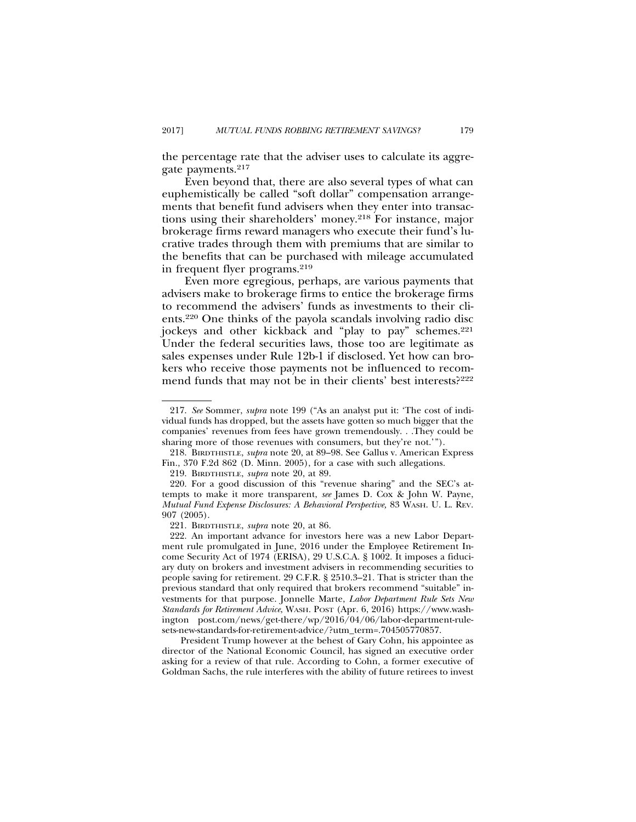the percentage rate that the adviser uses to calculate its aggregate payments.217

Even beyond that, there are also several types of what can euphemistically be called "soft dollar" compensation arrangements that benefit fund advisers when they enter into transactions using their shareholders' money.218 For instance, major brokerage firms reward managers who execute their fund's lucrative trades through them with premiums that are similar to the benefits that can be purchased with mileage accumulated in frequent flyer programs.219

Even more egregious, perhaps, are various payments that advisers make to brokerage firms to entice the brokerage firms to recommend the advisers' funds as investments to their clients.220 One thinks of the payola scandals involving radio disc jockeys and other kickback and "play to pay" schemes.<sup>221</sup> Under the federal securities laws, those too are legitimate as sales expenses under Rule 12b-1 if disclosed. Yet how can brokers who receive those payments not be influenced to recommend funds that may not be in their clients' best interests?<sup>222</sup>

<sup>217.</sup> *See* Sommer, *supra* note 199 ("As an analyst put it: 'The cost of individual funds has dropped, but the assets have gotten so much bigger that the companies' revenues from fees have grown tremendously. . .They could be sharing more of those revenues with consumers, but they're not.'").

<sup>218.</sup> BIRDTHISTLE, *supra* note 20, at 89–98. See Gallus v. American Express Fin., 370 F.2d 862 (D. Minn. 2005), for a case with such allegations.

<sup>219.</sup> BIRDTHISTLE, *supra* note 20, at 89.

<sup>220.</sup> For a good discussion of this "revenue sharing" and the SEC's attempts to make it more transparent, *see* James D. Cox & John W. Payne, *Mutual Fund Expense Disclosures: A Behavioral Perspective,* 83 WASH. U. L. REV. 907 (2005).

<sup>221.</sup> BIRDTHISTLE, *supra* note 20, at 86.

<sup>222.</sup> An important advance for investors here was a new Labor Department rule promulgated in June, 2016 under the Employee Retirement Income Security Act of 1974 (ERISA), 29 U.S.C.A. § 1002. It imposes a fiduciary duty on brokers and investment advisers in recommending securities to people saving for retirement. 29 C.F.R. § 2510.3–21. That is stricter than the previous standard that only required that brokers recommend "suitable" investments for that purpose. Jonnelle Marte, *Labor Department Rule Sets New Standards for Retirement Advice*, WASH. POST (Apr. 6, 2016) https://www.washington post.com/news/get-there/wp/2016/04/06/labor-department-rulesets-new-standards-for-retirement-advice/?utm\_term=.704505770857.

President Trump however at the behest of Gary Cohn, his appointee as director of the National Economic Council, has signed an executive order asking for a review of that rule. According to Cohn, a former executive of Goldman Sachs, the rule interferes with the ability of future retirees to invest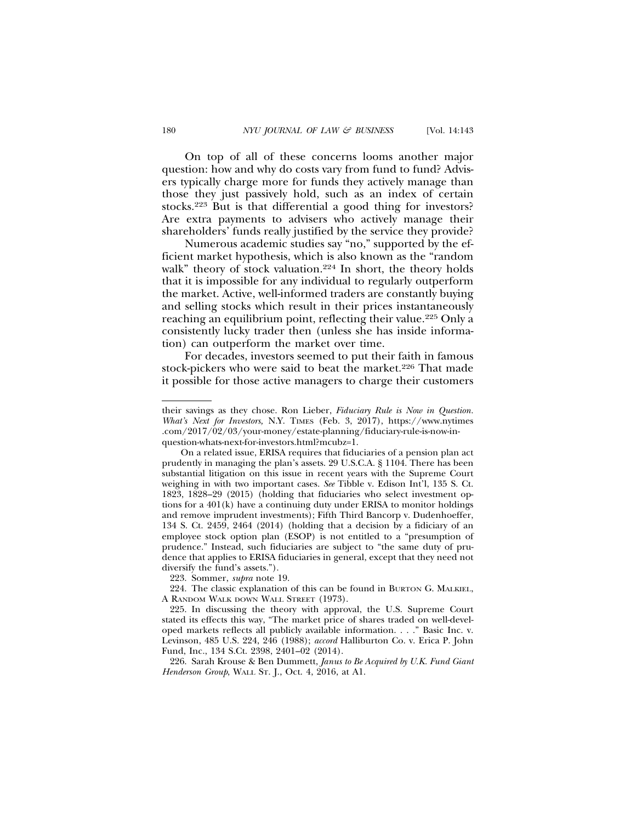On top of all of these concerns looms another major question: how and why do costs vary from fund to fund? Advisers typically charge more for funds they actively manage than those they just passively hold, such as an index of certain stocks.223 But is that differential a good thing for investors? Are extra payments to advisers who actively manage their shareholders' funds really justified by the service they provide?

Numerous academic studies say "no," supported by the efficient market hypothesis, which is also known as the "random walk" theory of stock valuation.<sup>224</sup> In short, the theory holds that it is impossible for any individual to regularly outperform the market. Active, well-informed traders are constantly buying and selling stocks which result in their prices instantaneously reaching an equilibrium point, reflecting their value.<sup>225</sup> Only a consistently lucky trader then (unless she has inside information) can outperform the market over time.

For decades, investors seemed to put their faith in famous stock-pickers who were said to beat the market.<sup>226</sup> That made it possible for those active managers to charge their customers

223. Sommer, *supra* note 19.

226. Sarah Krouse & Ben Dummett, *Janus to Be Acquired by U.K. Fund Giant Henderson Group*, WALL ST. J., Oct. 4, 2016, at A1.

their savings as they chose. Ron Lieber, *Fiduciary Rule is Now in Question. What's Next for Investors,* N.Y. TIMES (Feb. 3, 2017), https://www.nytimes .com/2017/02/03/your-money/estate-planning/fiduciary-rule-is-now-inquestion-whats-next-for-investors.html?mcubz=1.

On a related issue, ERISA requires that fiduciaries of a pension plan act prudently in managing the plan's assets. 29 U.S.C.A. § 1104. There has been substantial litigation on this issue in recent years with the Supreme Court weighing in with two important cases. *See* Tibble v. Edison Int'l, 135 S. Ct. 1823, 1828–29 (2015) (holding that fiduciaries who select investment options for a 401(k) have a continuing duty under ERISA to monitor holdings and remove imprudent investments); Fifth Third Bancorp v. Dudenhoeffer, 134 S. Ct. 2459, 2464 (2014) (holding that a decision by a fidiciary of an employee stock option plan (ESOP) is not entitled to a "presumption of prudence." Instead, such fiduciaries are subject to "the same duty of prudence that applies to ERISA fiduciaries in general, except that they need not diversify the fund's assets.").

<sup>224.</sup> The classic explanation of this can be found in BURTON G. MALKIEL, A RANDOM WALK DOWN WALL STREET (1973).

<sup>225.</sup> In discussing the theory with approval, the U.S. Supreme Court stated its effects this way, "The market price of shares traded on well-developed markets reflects all publicly available information. . . ." Basic Inc. v. Levinson, 485 U.S. 224, 246 (1988); *accord* Halliburton Co. v. Erica P. John Fund, Inc., 134 S.Ct. 2398, 2401–02 (2014).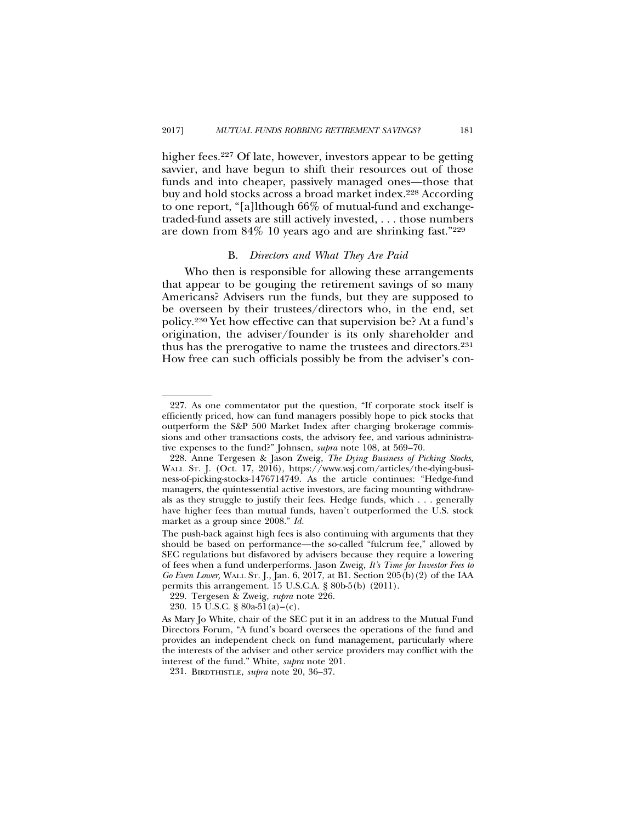higher fees.<sup>227</sup> Of late, however, investors appear to be getting savvier, and have begun to shift their resources out of those funds and into cheaper, passively managed ones—those that buy and hold stocks across a broad market index.<sup>228</sup> According to one report, "[a]lthough 66% of mutual-fund and exchangetraded-fund assets are still actively invested, . . . those numbers are down from 84% 10 years ago and are shrinking fast."229

## B. *Directors and What They Are Paid*

Who then is responsible for allowing these arrangements that appear to be gouging the retirement savings of so many Americans? Advisers run the funds, but they are supposed to be overseen by their trustees/directors who, in the end, set policy.230 Yet how effective can that supervision be? At a fund's origination, the adviser/founder is its only shareholder and thus has the prerogative to name the trustees and directors.231 How free can such officials possibly be from the adviser's con-

<sup>227.</sup> As one commentator put the question, "If corporate stock itself is efficiently priced, how can fund managers possibly hope to pick stocks that outperform the S&P 500 Market Index after charging brokerage commissions and other transactions costs, the advisory fee, and various administrative expenses to the fund?" Johnsen, *supra* note 108, at 569–70.

<sup>228.</sup> Anne Tergesen & Jason Zweig, *The Dying Business of Picking Stocks,* WALL ST. J. (Oct. 17, 2016), https://www.wsj.com/articles/the-dying-business-of-picking-stocks-1476714749. As the article continues: "Hedge-fund managers, the quintessential active investors, are facing mounting withdrawals as they struggle to justify their fees. Hedge funds, which . . . generally have higher fees than mutual funds, haven't outperformed the U.S. stock market as a group since 2008." *Id.*

The push-back against high fees is also continuing with arguments that they should be based on performance—the so-called "fulcrum fee," allowed by SEC regulations but disfavored by advisers because they require a lowering of fees when a fund underperforms. Jason Zweig, *It's Time for Investor Fees to Go Even Lower,* WALL ST. J., Jan. 6, 2017, at B1. Section 205(b)(2) of the IAA permits this arrangement. 15 U.S.C.A. § 80b-5(b) (2011).

<sup>229.</sup> Tergesen & Zweig, *supra* note 226.

<sup>230. 15</sup> U.S.C.  $\frac{8}{9}$  80a-51(a)–(c).

As Mary Jo White, chair of the SEC put it in an address to the Mutual Fund Directors Forum, "A fund's board oversees the operations of the fund and provides an independent check on fund management, particularly where the interests of the adviser and other service providers may conflict with the interest of the fund." White, *supra* note 201.

<sup>231.</sup> BIRDTHISTLE, *supra* note 20, 36–37.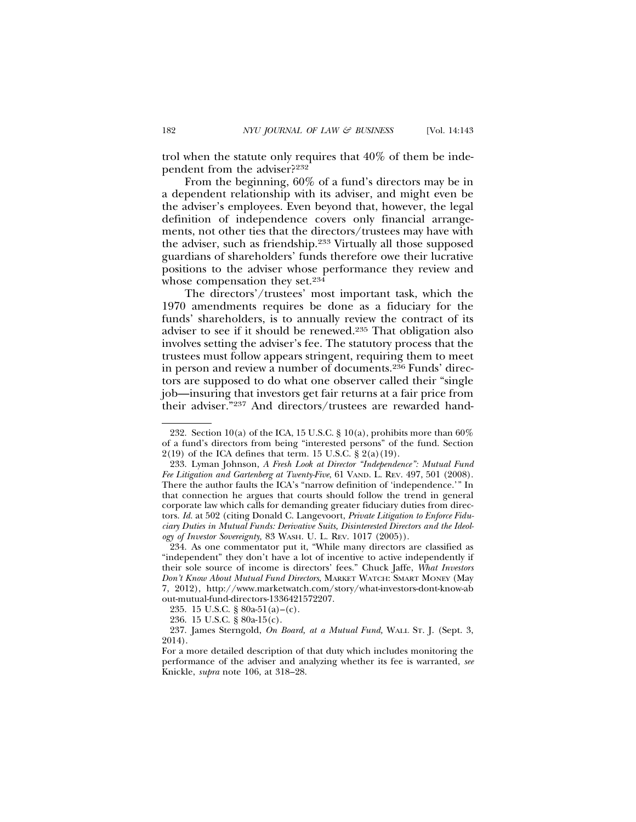trol when the statute only requires that 40% of them be independent from the adviser?232

From the beginning, 60% of a fund's directors may be in a dependent relationship with its adviser, and might even be the adviser's employees. Even beyond that, however, the legal definition of independence covers only financial arrangements, not other ties that the directors/trustees may have with the adviser, such as friendship.233 Virtually all those supposed guardians of shareholders' funds therefore owe their lucrative positions to the adviser whose performance they review and whose compensation they set.234

The directors'/trustees' most important task, which the 1970 amendments requires be done as a fiduciary for the funds' shareholders, is to annually review the contract of its adviser to see if it should be renewed.235 That obligation also involves setting the adviser's fee. The statutory process that the trustees must follow appears stringent, requiring them to meet in person and review a number of documents.<sup>236</sup> Funds' directors are supposed to do what one observer called their "single job—insuring that investors get fair returns at a fair price from their adviser."237 And directors/trustees are rewarded hand-

<sup>232.</sup> Section 10(a) of the ICA, 15 U.S.C. § 10(a), prohibits more than  $60\%$ of a fund's directors from being "interested persons" of the fund. Section  $2(19)$  of the ICA defines that term. 15 U.S.C. §  $2(a)(19)$ .

<sup>233.</sup> Lyman Johnson, *A Fresh Look at Director "Independence": Mutual Fund Fee Litigation and Gartenberg at Twenty-Five*, 61 VAND. L. REV. 497, 501 (2008). There the author faults the ICA's "narrow definition of 'independence.'" In that connection he argues that courts should follow the trend in general corporate law which calls for demanding greater fiduciary duties from directors. *Id.* at 502 (citing Donald C. Langevoort, *Private Litigation to Enforce Fiduciary Duties in Mutual Funds: Derivative Suits, Disinterested Directors and the Ideology of Investor Sovereignty,* 83 WASH. U. L. REV. 1017 (2005)).

<sup>234.</sup> As one commentator put it, "While many directors are classified as "independent" they don't have a lot of incentive to active independently if their sole source of income is directors' fees." Chuck Jaffe, *What Investors Don't Know About Mutual Fund Directors*, MARKET WATCH: SMART MONEY (May 7, 2012), http://www.marketwatch.com/story/what-investors-dont-know-ab out-mutual-fund-directors-1336421572207.

<sup>235. 15</sup> U.S.C. § 80a-51(a)–(c).

<sup>236. 15</sup> U.S.C. § 80a-15(c).

<sup>237.</sup> James Sterngold, *On Board, at a Mutual Fund,* WALL ST. J. (Sept. 3, 2014).

For a more detailed description of that duty which includes monitoring the performance of the adviser and analyzing whether its fee is warranted, *see* Knickle, *supra* note 106, at 318–28.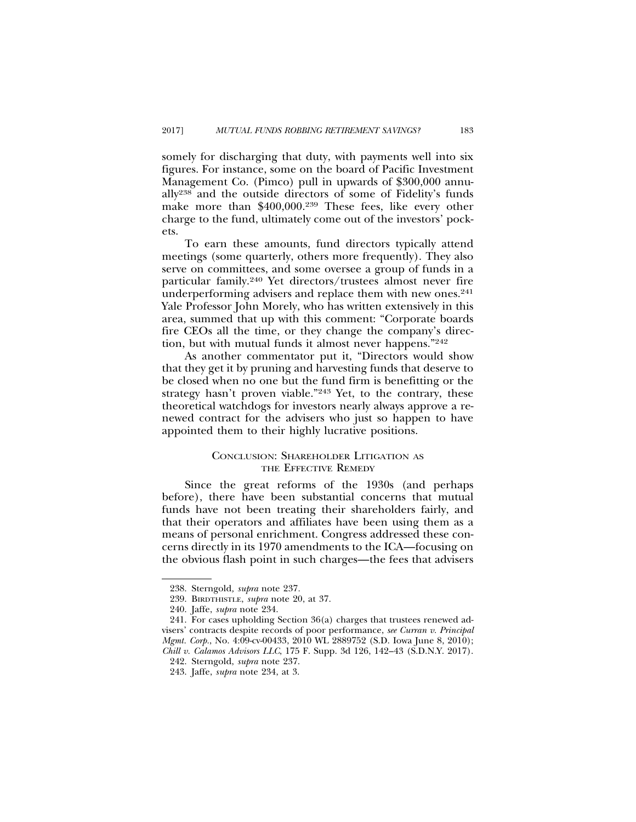somely for discharging that duty, with payments well into six figures. For instance, some on the board of Pacific Investment Management Co. (Pimco) pull in upwards of \$300,000 annually238 and the outside directors of some of Fidelity's funds make more than \$400,000.239 These fees, like every other charge to the fund, ultimately come out of the investors' pockets.

To earn these amounts, fund directors typically attend meetings (some quarterly, others more frequently). They also serve on committees, and some oversee a group of funds in a particular family.240 Yet directors/trustees almost never fire underperforming advisers and replace them with new ones.<sup>241</sup> Yale Professor John Morely, who has written extensively in this area, summed that up with this comment: "Corporate boards fire CEOs all the time, or they change the company's direction, but with mutual funds it almost never happens."242

As another commentator put it, "Directors would show that they get it by pruning and harvesting funds that deserve to be closed when no one but the fund firm is benefitting or the strategy hasn't proven viable."243 Yet, to the contrary, these theoretical watchdogs for investors nearly always approve a renewed contract for the advisers who just so happen to have appointed them to their highly lucrative positions.

## CONCLUSION: SHAREHOLDER LITIGATION AS THE EFFECTIVE REMEDY

Since the great reforms of the 1930s (and perhaps before), there have been substantial concerns that mutual funds have not been treating their shareholders fairly, and that their operators and affiliates have been using them as a means of personal enrichment. Congress addressed these concerns directly in its 1970 amendments to the ICA—focusing on the obvious flash point in such charges—the fees that advisers

<sup>238.</sup> Sterngold*, supra* note 237*.*

<sup>239.</sup> BIRDTHISTLE, *supra* note 20, at 37.

<sup>240.</sup> Jaffe, *supra* note 234.

<sup>241.</sup> For cases upholding Section 36(a) charges that trustees renewed advisers' contracts despite records of poor performance, *see Curran v. Principal Mgmt. Corp.*, No. 4:09-cv-00433, 2010 WL 2889752 (S.D. Iowa June 8, 2010); *Chill v. Calamos Advisors LLC*, 175 F. Supp. 3d 126, 142–43 (S.D.N.Y. 2017).

<sup>242.</sup> Sterngold, *supra* note 237. 243. Jaffe, *supra* note 234, at 3.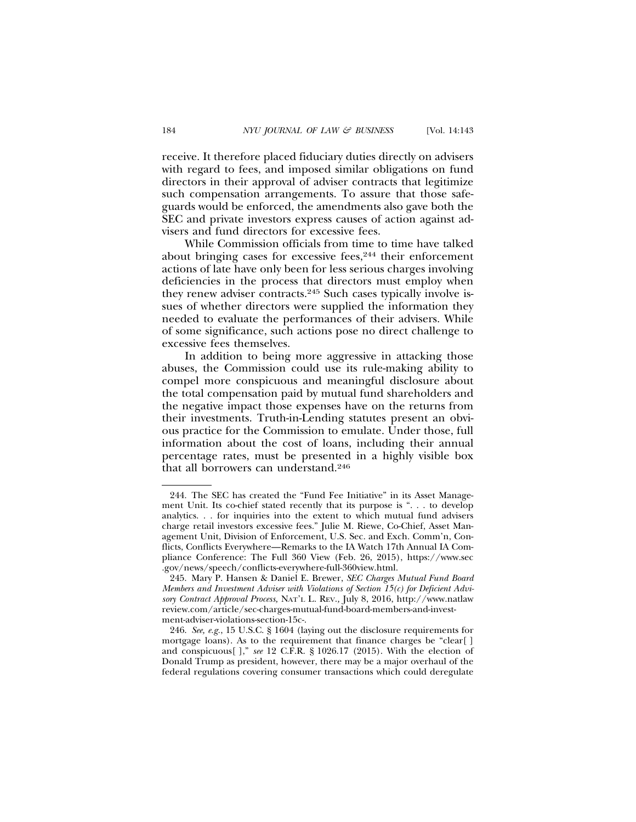receive. It therefore placed fiduciary duties directly on advisers with regard to fees, and imposed similar obligations on fund directors in their approval of adviser contracts that legitimize such compensation arrangements. To assure that those safeguards would be enforced, the amendments also gave both the SEC and private investors express causes of action against advisers and fund directors for excessive fees.

While Commission officials from time to time have talked about bringing cases for excessive fees,<sup>244</sup> their enforcement actions of late have only been for less serious charges involving deficiencies in the process that directors must employ when they renew adviser contracts.<sup>245</sup> Such cases typically involve issues of whether directors were supplied the information they needed to evaluate the performances of their advisers. While of some significance, such actions pose no direct challenge to excessive fees themselves.

In addition to being more aggressive in attacking those abuses, the Commission could use its rule-making ability to compel more conspicuous and meaningful disclosure about the total compensation paid by mutual fund shareholders and the negative impact those expenses have on the returns from their investments. Truth-in-Lending statutes present an obvious practice for the Commission to emulate. Under those, full information about the cost of loans, including their annual percentage rates, must be presented in a highly visible box that all borrowers can understand.246

<sup>244.</sup> The SEC has created the "Fund Fee Initiative" in its Asset Management Unit. Its co-chief stated recently that its purpose is ". . . to develop analytics. . . for inquiries into the extent to which mutual fund advisers charge retail investors excessive fees." Julie M. Riewe, Co-Chief, Asset Management Unit, Division of Enforcement, U.S. Sec. and Exch. Comm'n, Conflicts, Conflicts Everywhere—Remarks to the IA Watch 17th Annual IA Compliance Conference: The Full 360 View (Feb. 26, 2015), https://www.sec .gov/news/speech/conflicts-everywhere-full-360view.html.

<sup>245.</sup> Mary P. Hansen & Daniel E. Brewer, *SEC Charges Mutual Fund Board Members and Investment Adviser with Violations of Section 15(c) for Deficient Advisory Contract Approval Process,* NAT'L L. REV.*,* July 8, 2016, http://www.natlaw review.com/article/sec-charges-mutual-fund-board-members-and-investment-adviser-violations-section-15c-.

<sup>246.</sup> *See, e.g.*, 15 U.S.C. § 1604 (laying out the disclosure requirements for mortgage loans). As to the requirement that finance charges be "clear[ ] and conspicuous[ ]," *see* 12 C.F.R. § 1026.17 (2015). With the election of Donald Trump as president, however, there may be a major overhaul of the federal regulations covering consumer transactions which could deregulate